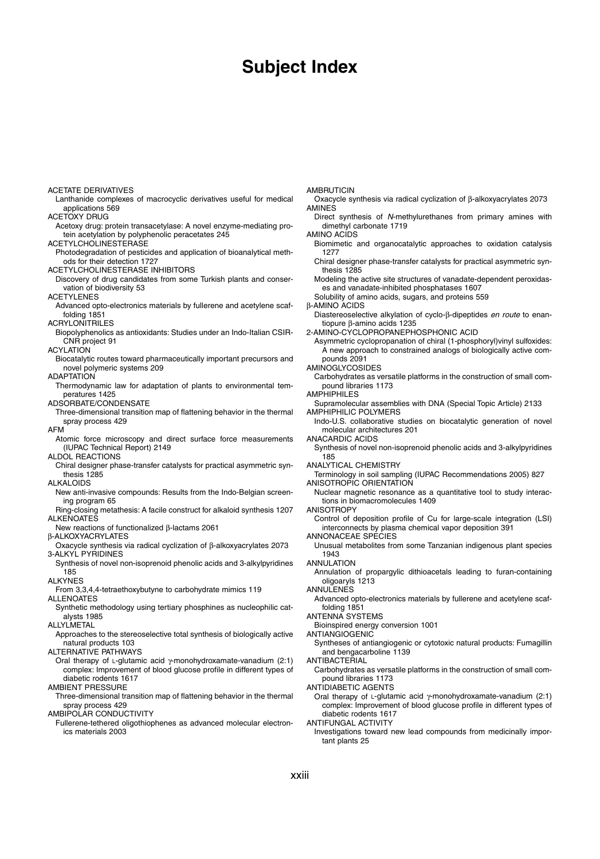# **Subject Index**

ACETATE DERIVATIVES Lanthanide complexes of macrocyclic derivatives useful for medical applications 569 ACETOXY DRUG Acetoxy drug: protein transacetylase: A novel enzyme-mediating protein acetylation by polyphenolic peracetates 245 ACETYLCHOLINESTERASE Photodegradation of pesticides and application of bioanalytical methods for their detection 1727 ACETYLCHOLINESTERASE INHIBITORS Discovery of drug candidates from some Turkish plants and conservation of biodiversity 53 ACETYLENES Advanced opto-electronics materials by fullerene and acetylene scaffolding 1851 ACRYLONITRILES Biopolyphenolics as antioxidants: Studies under an Indo-Italian CSIR-CNR project 91 ACYLATION Biocatalytic routes toward pharmaceutically important precursors and novel polymeric systems 209 ADAPTATION Thermodynamic law for adaptation of plants to environmental temperatures 1425 ADSORBATE/CONDENSATE Three-dimensional transition map of flattening behavior in the thermal spray process 429 AFM Atomic force microscopy and direct surface force measurements (IUPAC Technical Report) 2149 ALDOL REACTIONS Chiral designer phase-transfer catalysts for practical asymmetric synthesis 1285 ALKALOIDS New anti-invasive compounds: Results from the Indo-Belgian screening program 65 Ring-closing metathesis: A facile construct for alkaloid synthesis 1207 ALKENOATES New reactions of functionalized β-lactams 2061 β-ALKOXYACRYLATES Oxacycle synthesis via radical cyclization of β-alkoxyacrylates 2073 3-ALKYL PYRIDINES Synthesis of novel non-isoprenoid phenolic acids and 3-alkylpyridines 185 ALKYNES From 3,3,4,4-tetraethoxybutyne to carbohydrate mimics 119 ALLENOATES Synthetic methodology using tertiary phosphines as nucleophilic catalysts 1985 ALLYLMETAL Approaches to the stereoselective total synthesis of biologically active natural products 103 ALTERNATIVE PATHWAYS Oral therapy of L-glutamic acid γ-monohydroxamate-vanadium (2:1) complex: Improvement of blood glucose profile in different types of diabetic rodents 1617 AMBIENT PRESSURE Three-dimensional transition map of flattening behavior in the thermal spray process 429 AMBIPOLAR CONDUCTIVITY **AMBRUTICIN AMINES** dimethyl carbonate 1719 AMINO ACIDS 1277 thesis 1285 β-AMINO ACIDS tiopure β-amino acids 1235 pounds 2091 AMINOGLYCOSIDES pound libraries 1173 **AMPHIPHILES** AMPHIPHILIC POLYMERS molecular architectures 201 ANACARDIC ACIDS 185 ANALYTICAL CHEMISTRY ANISOTROPIC ORIENTATION tions in biomacromolecules 1409 ANISOTROPY ANNONACEAE SPECIES 1943 ANNULATION oligoaryls 1213 ANNULENES folding 1851 ANTENNA SYSTEMS Bioinspired energy conversion 1001 ANTIANGIOGENIC and bengacarboline 1139 ANTIBACTERIAL pound libraries 1173 ANTIDIABETIC AGENTS diabetic rodents 1617

Fullerene-tethered oligothiophenes as advanced molecular electronics materials 2003

Oxacycle synthesis via radical cyclization of β-alkoxyacrylates 2073

Direct synthesis of N-methylurethanes from primary amines with

Biomimetic and organocatalytic approaches to oxidation catalysis

Chiral designer phase-transfer catalysts for practical asymmetric syn-

Modeling the active site structures of vanadate-dependent peroxidases and vanadate-inhibited phosphatases 1607

Solubility of amino acids, sugars, and proteins 559

Diastereoselective alkylation of cyclo-β-dipeptides en route to enan-

2-AMINO-CYCLOPROPANEPHOSPHONIC ACID

Asymmetric cyclopropanation of chiral (1-phosphoryl)vinyl sulfoxides: A new approach to constrained analogs of biologically active com-

Carbohydrates as versatile platforms in the construction of small com-

Supramolecular assemblies with DNA (Special Topic Article) 2133

Indo-U.S. collaborative studies on biocatalytic generation of novel

Synthesis of novel non-isoprenoid phenolic acids and 3-alkylpyridines

Terminology in soil sampling (IUPAC Recommendations 2005) 827

Nuclear magnetic resonance as a quantitative tool to study interac-

Control of deposition profile of Cu for large-scale integration (LSI) interconnects by plasma chemical vapor deposition 391

Unusual metabolites from some Tanzanian indigenous plant species

Annulation of propargylic dithioacetals leading to furan-containing

Advanced opto-electronics materials by fullerene and acetylene scaf-

Syntheses of antiangiogenic or cytotoxic natural products: Fumagillin

Carbohydrates as versatile platforms in the construction of small com-

Oral therapy of L-glutamic acid γ-monohydroxamate-vanadium (2:1) complex: Improvement of blood glucose profile in different types of

ANTIFUNGAL ACTIVITY

Investigations toward new lead compounds from medicinally important plants 25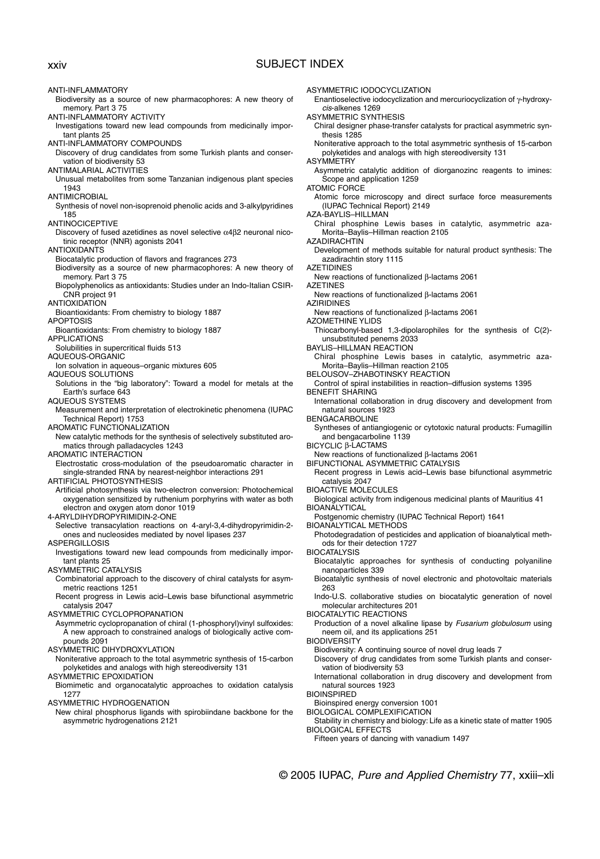## xxiv SUBJECT INDEX

ANTI-INFLAMMATORY

Biodiversity as a source of new pharmacophores: A new theory of memory. Part 3 75

ANTI-INFLAMMATORY ACTIVITY

- Investigations toward new lead compounds from medicinally important plants 25
- ANTI-INFLAMMATORY COMPOUNDS

Discovery of drug candidates from some Turkish plants and conservation of biodiversity 53

- ANTIMALARIAL ACTIVITIES
- Unusual metabolites from some Tanzanian indigenous plant species 1943
- ANTIMICROBIAL

Synthesis of novel non-isoprenoid phenolic acids and 3-alkylpyridines 185

- ANTINOCICEPTIVE
	- Discovery of fused azetidines as novel selective α4β2 neuronal nicotinic receptor (NNR) agonists 2041
- ANTIOXIDANTS
- Biocatalytic production of flavors and fragrances 273
- Biodiversity as a source of new pharmacophores: A new theory of memory. Part 3 75
- Biopolyphenolics as antioxidants: Studies under an Indo-Italian CSIR-CNR project 91
- **ANTIOXIDATION**
- Bioantioxidants: From chemistry to biology 1887
- APOPTOSIS
- Bioantioxidants: From chemistry to biology 1887 APPLICATIONS
- Solubilities in supercritical fluids 513
- AQUEOUS-ORGANIC
- Ion solvation in aqueous–organic mixtures 605
- AQUEOUS SOLUTIONS
- Solutions in the "big laboratory": Toward a model for metals at the Earth's surface 643

AQUEOUS SYSTEMS

Measurement and interpretation of electrokinetic phenomena (IUPAC Technical Report) 1753

AROMATIC FUNCTIONALIZATION

New catalytic methods for the synthesis of selectively substituted aromatics through palladacycles 1243

AROMATIC INTERACTION

Electrostatic cross-modulation of the pseudoaromatic character in single-stranded RNA by nearest-neighbor interactions 291

ARTIFICIAL PHOTOSYNTHESIS

Artificial photosynthesis via two-electron conversion: Photochemical oxygenation sensitized by ruthenium porphyrins with water as both electron and oxygen atom donor 1019

4-ARYLDIHYDROPYRIMIDIN-2-ONE

Selective transacylation reactions on 4-aryl-3,4-dihydropyrimidin-2 ones and nucleosides mediated by novel lipases 237

ASPERGILLOSIS

- Investigations toward new lead compounds from medicinally important plants 25
- ASYMMETRIC CATALYSIS
	- Combinatorial approach to the discovery of chiral catalysts for asymmetric reactions 1251
	- Recent progress in Lewis acid–Lewis base bifunctional asymmetric catalysis 2047
- ASYMMETRIC CYCLOPROPANATION
- Asymmetric cyclopropanation of chiral (1-phosphoryl)vinyl sulfoxides: A new approach to constrained analogs of biologically active compounds 2091

ASYMMETRIC DIHYDROXYLATION

- Noniterative approach to the total asymmetric synthesis of 15-carbon polyketides and analogs with high stereodiversity 131
- ASYMMETRIC EPOXIDATION
	- Biomimetic and organocatalytic approaches to oxidation catalysis 1277

ASYMMETRIC HYDROGENATION

New chiral phosphorus ligands with spirobiindane backbone for the asymmetric hydrogenations 2121

ASYMMETRIC IODOCYCLIZATION

Enantioselective iodocyclization and mercuriocyclization of γ-hydroxycis-alkenes 1269

ASYMMETRIC SYNTHESIS

Chiral designer phase-transfer catalysts for practical asymmetric synthesis 1285

Noniterative approach to the total asymmetric synthesis of 15-carbon polyketides and analogs with high stereodiversity 131

**ASYMMETRY** 

Asymmetric catalytic addition of diorganozinc reagents to imines: Scope and application 1259

ATOMIC FORCE

Atomic force microscopy and direct surface force measurements (IUPAC Technical Report) 2149

- AZA-BAYLIS–HILLMAN
- Chiral phosphine Lewis bases in catalytic, asymmetric aza-Morita–Baylis–Hillman reaction 2105
- **AZADIRACHTIN**
- Development of methods suitable for natural product synthesis: The azadirachtin story 1115

AZETIDINES

- New reactions of functionalized β-lactams 2061
- AZETINES
- New reactions of functionalized β-lactams 2061 AZIRIDINES
- New reactions of functionalized β-lactams 2061
- AZOMETHINE YLIDS
- Thiocarbonyl-based 1,3-dipolarophiles for the synthesis of C(2) unsubstituted penems 2033
- BAYLIS–HILLMAN REACTION
- Chiral phosphine Lewis bases in catalytic, asymmetric aza-Morita–Baylis–Hillman reaction 2105
- BELOUSOV–ZHABOTINSKY REACTION
- Control of spiral instabilities in reaction–diffusion systems 1395 BENEFIT SHARING
- International collaboration in drug discovery and development from natural sources 1923

BENGACARBOLINE

- Syntheses of antiangiogenic or cytotoxic natural products: Fumagillin and bengacarboline 1139
- BICYCLIC β-LACTAMS
- New reactions of functionalized β-lactams 2061
- BIFUNCTIONAL ASYMMETRIC CATALYSIS
- Recent progress in Lewis acid–Lewis base bifunctional asymmetric catalysis 2047
- BIOACTIVE MOLECULES
- Biological activity from indigenous medicinal plants of Mauritius 41
- **BIOANALYTICAL**
- Postgenomic chemistry (IUPAC Technical Report) 1641
- BIOANALYTICAL METHODS
- Photodegradation of pesticides and application of bioanalytical methods for their detection 1727

BIOCATALYSIS

- Biocatalytic approaches for synthesis of conducting polyaniline nanoparticles 339
- Biocatalytic synthesis of novel electronic and photovoltaic materials 263
- Indo-U.S. collaborative studies on biocatalytic generation of novel molecular architectures 201

BIOCATALYTIC REACTIONS

- Production of a novel alkaline lipase by Fusarium globulosum using neem oil, and its applications 251
- **BIODIVERSITY**

Fifteen years of dancing with vanadium 1497

Biodiversity: A continuing source of novel drug leads 7

© 2005 IUPAC, Pure and Applied Chemistry 77, xxiii–xli

- Discovery of drug candidates from some Turkish plants and conservation of biodiversity 53
- International collaboration in drug discovery and development from natural sources 1923

**BIOINSPIRED** 

BIOLOGICAL EFFECTS

- Bioinspired energy conversion 1001
- BIOLOGICAL COMPLEXIFICATION Stability in chemistry and biology: Life as a kinetic state of matter 1905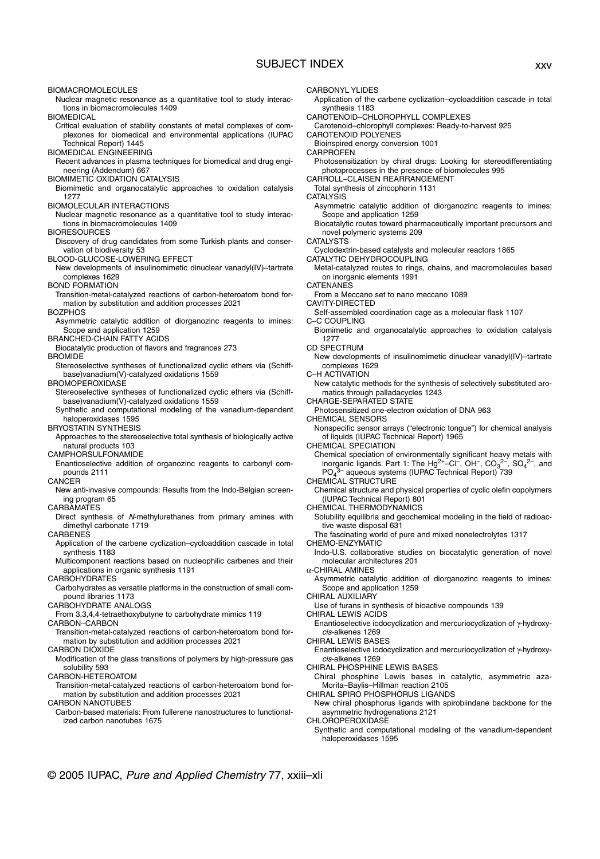## SUBJECT INDEX xxv

BIOMACROMOLECULES

Nuclear magnetic resonance as a quantitative tool to study interactions in biomacromolecules 1409

BIOMEDICAL

- Critical evaluation of stability constants of metal complexes of complexones for biomedical and environmental applications (IUPAC Technical Report) 1445
- BIOMEDICAL ENGINEERING
- Recent advances in plasma techniques for biomedical and drug engineering (Addendum) 667
- BIOMIMETIC OXIDATION CATALYSIS
- Biomimetic and organocatalytic approaches to oxidation catalysis 1277
- BIOMOLECULAR INTERACTIONS
- Nuclear magnetic resonance as a quantitative tool to study interactions in biomacromolecules 1409

BIORESOURCES

Discovery of drug candidates from some Turkish plants and conservation of biodiversity 53

BLOOD-GLUCOSE-LOWERING EFFECT

New developments of insulinomimetic dinuclear vanadyl(IV)–tartrate complexes 1629

BOND FORMATION

Transition-metal-catalyzed reactions of carbon-heteroatom bond formation by substitution and addition processes 2021

#### BOZPHOS

- Asymmetric catalytic addition of diorganozinc reagents to imines: Scope and application 1259
- BRANCHED-CHAIN FATTY ACIDS
- Biocatalytic production of flavors and fragrances 273

#### **BROMIDE**

Stereoselective syntheses of functionalized cyclic ethers via (Schiffbase)vanadium(V)-catalyzed oxidations 1559

### BROMOPEROXIDASE

- Stereoselective syntheses of functionalized cyclic ethers via (Schiffbase)vanadium(V)-catalyzed oxidations 1559
- Synthetic and computational modeling of the vanadium-dependent haloperoxidases 1595

BRYOSTATIN SYNTHESIS

Approaches to the stereoselective total synthesis of biologically active natural products 103

### CAMPHORSULFONAMIDE

Enantioselective addition of organozinc reagents to carbonyl compounds 2111

## **CANCER**

New anti-invasive compounds: Results from the Indo-Belgian screening program 65

#### CARBAMATES

Direct synthesis of N-methylurethanes from primary amines with dimethyl carbonate 1719

**CARBENES** 

- Application of the carbene cyclization–cycloaddition cascade in total synthesis 1183
- Multicomponent reactions based on nucleophilic carbenes and their applications in organic synthesis 1191

**CARBOHYDRATES** 

Carbohydrates as versatile platforms in the construction of small compound libraries 1173

### CARBOHYDRATE ANALOGS

From 3,3,4,4-tetraethoxybutyne to carbohydrate mimics 119

CARBON–CARBON

Transition-metal-catalyzed reactions of carbon-heteroatom bond formation by substitution and addition processes 2021

### CARBON DIOXIDE

Modification of the glass transitions of polymers by high-pressure gas solubility 593

CARBON-HETEROATOM

Transition-metal-catalyzed reactions of carbon-heteroatom bond formation by substitution and addition processes 2021

CARBON NANOTUBES

Carbon-based materials: From fullerene nanostructures to functionalized carbon nanotubes 1675

© 2005 IUPAC, Pure and Applied Chemistry 77, xxiii–xli

- CARBONYL YLIDES
- Application of the carbene cyclization–cycloaddition cascade in total synthesis 1183
- CAROTENOID–CHLOROPHYLL COMPLEXES
- Carotenoid–chlorophyll complexes: Ready-to-harvest 925 CAROTENOID POLYENES
- Bioinspired energy conversion 1001
- **CARPROFEN** 
	- Photosensitization by chiral drugs: Looking for stereodifferentiating photoprocesses in the presence of biomolecules 995
- CARROLL–CLAISEN REARRANGEMENT
- Total synthesis of zincophorin 1131
- **CATALYSIS** 
	- Asymmetric catalytic addition of diorganozinc reagents to imines: Scope and application 1259
	- Biocatalytic routes toward pharmaceutically important precursors and novel polymeric systems 209
- CATALYSTS
- Cyclodextrin-based catalysts and molecular reactors 1865
- CATALYTIC DEHYDROCOUPLING
- Metal-catalyzed routes to rings, chains, and macromolecules based on inorganic elements 1991
- **CATENANES**
- From a Meccano set to nano meccano 1089
- CAVITY-DIRECTED
- Self-assembled coordination cage as a molecular flask 1107 C–C COUPLING
- Biomimetic and organocatalytic approaches to oxidation catalysis 1277
- CD SPECTRUM
	- New developments of insulinomimetic dinuclear vanadyl(IV)–tartrate complexes 1629
- C–H ACTIVATION
- New catalytic methods for the synthesis of selectively substituted aromatics through palladacycles 1243
- CHARGE-SEPARATED STATE
- Photosensitized one-electron oxidation of DNA 963
- CHEMICAL SENSORS
- Nonspecific sensor arrays ("electronic tongue") for chemical analysis of liquids (IUPAC Technical Report) 1965
- CHEMICAL SPECIATION
	- Chemical speciation of environmentally significant heavy metals with inorganic ligands. Part 1: The Hg<sup>2+</sup>-Cl<sup>-</sup>, OH<sup>-</sup>, CO<sub>3</sub><sup>2-</sup>, SO<sub>4</sub><sup>2-</sup>, and PO<sub>4</sub> <sup>3-</sup> aqueous systems (IUPAC Technical Report) 739
- CHEMICAL STRUCTURE
	- Chemical structure and physical properties of cyclic olefin copolymers (IUPAC Technical Report) 801
- CHEMICAL THERMODYNAMICS
- Solubility equilibria and geochemical modeling in the field of radioactive waste disposal 631
- The fascinating world of pure and mixed nonelectrolytes 1317
- CHEMO-ENZYMATIC
- Indo-U.S. collaborative studies on biocatalytic generation of novel molecular architectures 201
- α-CHIRAL AMINES
	- Asymmetric catalytic addition of diorganozinc reagents to imines: Scope and application 1259
- CHIRAL AUXILIARY
- Use of furans in synthesis of bioactive compounds 139
- CHIRAL LEWIS ACIDS
	- Enantioselective iodocyclization and mercuriocyclization of γ-hydroxycis-alkenes 1269
- CHIRAL LEWIS BASES
	- Enantioselective iodocyclization and mercuriocyclization of γ-hydroxycis-alkenes 1269
- CHIRAL PHOSPHINE LEWIS BASES
- Chiral phosphine Lewis bases in catalytic, asymmetric aza-Morita–Baylis–Hillman reaction 2105
- CHIRAL SPIRO PHOSPHORUS LIGANDS
- New chiral phosphorus ligands with spirobiindane backbone for the asymmetric hydrogenations 2121

CHLOROPEROXIDASE Synthetic and computational modeling of the vanadium-dependent

haloperoxidases 1595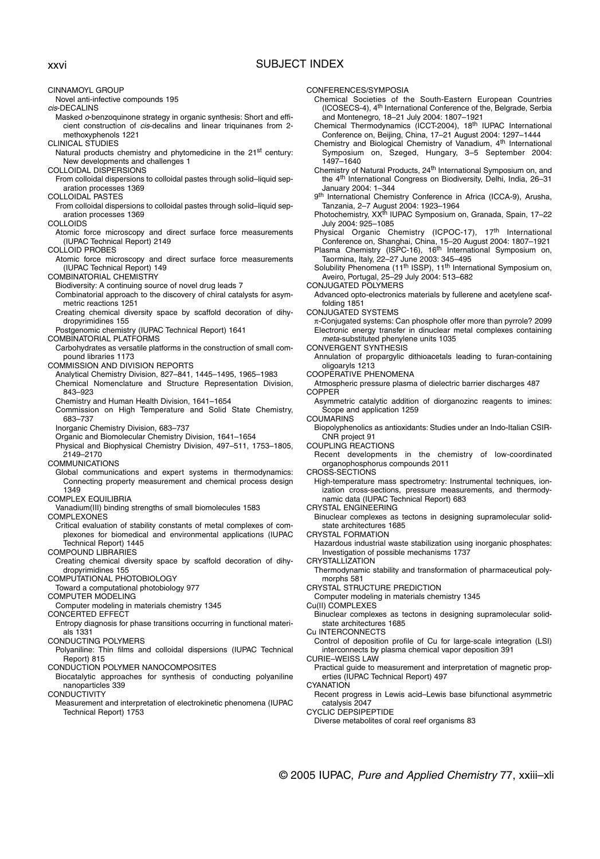CINNAMOYL GROUP Novel anti-infective compounds 195 cis-DECALINS Masked o-benzoquinone strategy in organic synthesis: Short and efficient construction of cis-decalins and linear triquinanes from 2 methoxyphenols 1221 CLINICAL STUDIES Natural products chemistry and phytomedicine in the 21<sup>st</sup> century: New developments and challenges 1 COLLOIDAL DISPERSIONS From colloidal dispersions to colloidal pastes through solid–liquid separation processes 1369 COLLOIDAL PASTES From colloidal dispersions to colloidal pastes through solid–liquid separation processes 1369 **COLLOIDS** Atomic force microscopy and direct surface force measurements (IUPAC Technical Report) 2149 COLLOID PROBES Atomic force microscopy and direct surface force measurements (IUPAC Technical Report) 149 COMBINATORIAL CHEMISTRY Biodiversity: A continuing source of novel drug leads 7 Combinatorial approach to the discovery of chiral catalysts for asymmetric reactions 1251 Creating chemical diversity space by scaffold decoration of dihydropyrimidines 155 Postgenomic chemistry (IUPAC Technical Report) 1641 COMBINATORIAL PLATFORMS Carbohydrates as versatile platforms in the construction of small compound libraries 1173 COMMISSION AND DIVISION REPORTS Analytical Chemistry Division, 827–841, 1445–1495, 1965–1983 Chemical Nomenclature and Structure Representation Division, 843–923 Chemistry and Human Health Division, 1641–1654 Commission on High Temperature and Solid State Chemistry, 683–737 Inorganic Chemistry Division, 683–737 Organic and Biomolecular Chemistry Division, 1641–1654 Physical and Biophysical Chemistry Division, 497–511, 1753–1805, 2149–2170 COMMUNICATIONS Global communications and expert systems in thermodynamics: Connecting property measurement and chemical process design 1349 COMPLEX EQUILIBRIA Vanadium(III) binding strengths of small biomolecules 1583 **COMPLEXONES** Critical evaluation of stability constants of metal complexes of complexones for biomedical and environmental applications (IUPAC Technical Report) 1445 COMPOUND LIBRARIES Creating chemical diversity space by scaffold decoration of dihydropyrimidines 155 COMPUTATIONAL PHOTOBIOLOGY Toward a computational photobiology 977 COMPUTER MODELING Computer modeling in materials chemistry 1345 CONCERTED EFFECT Entropy diagnosis for phase transitions occurring in functional materials 1331 CONDUCTING POLYMERS Polyaniline: Thin films and colloidal dispersions (IUPAC Technical Report) 815 CONDUCTION POLYMER NANOCOMPOSITES Biocatalytic approaches for synthesis of conducting polyaniline nanoparticles 339 **CONDUCTIVITY** xxvi SUBJECT INDEX

Measurement and interpretation of electrokinetic phenomena (IUPAC Technical Report) 1753

CONFERENCES/SYMPOSIA

Chemical Societies of the South-Eastern European Countries (ICOSECS-4), 4th International Conference of the, Belgrade, Serbia and Montenegro, 18–21 July 2004: 1807–1921

Chemical Thermodynamics (ICCT-2004), 18<sup>th</sup> IUPAC International Conference on, Beijing, China, 17–21 August 2004: 1297–1444

Chemistry and Biological Chemistry of Vanadium, 4<sup>th</sup> International Symposium on, Szeged, Hungary, 3–5 September 2004: 1497–1640

Chemistry of Natural Products, 24<sup>th</sup> International Symposium on, and the 4th International Congress on Biodiversity, Delhi, India, 26–31 January 2004: 1–344

9<sup>th</sup> International Chemistry Conference in Africa (ICCA-9), Arusha,

Tanzania, 2–7 August 2004: 1923–1964<br>Photochemistry, XX<sup>th</sup> IUPAC Symposium on, Granada, Spain, 17–22 July 2004: 925–1085

Physical Organic Chemistry (ICPOC-17), 17<sup>th</sup> International<br>Conference on, Shanghai, China, 15–20 August 2004: 1807–1921<br>Plasma Chemistry (ISPC-16), 16<sup>th</sup> International Symposium on,

Taormina, Italy, 22–27 June 2003: 345–495 Solubility Phenomena (11th ISSP), 11th International Symposium on, Aveiro, Portugal, 25–29 July 2004: 513–682

CONJUGATED POLYMERS

Advanced opto-electronics materials by fullerene and acetylene scaffolding 1851

CONJUGATED SYSTEMS

π-Conjugated systems: Can phosphole offer more than pyrrole? 2099 Electronic energy transfer in dinuclear metal complexes containing meta-substituted phenylene units 1035

CONVERGENT SYNTHESIS

Annulation of propargylic dithioacetals leading to furan-containing oligoaryls 1213

COOPERATIVE PHENOMENA

Atmospheric pressure plasma of dielectric barrier discharges 487 **COPPER** 

Asymmetric catalytic addition of diorganozinc reagents to imines: Scope and application 1259

COUMARINS

Biopolyphenolics as antioxidants: Studies under an Indo-Italian CSIR-CNR project 91

COUPLING REACTIONS

Recent developments in the chemistry of low-coordinated organophosphorus compounds 2011

CROSS-SECTIONS

High-temperature mass spectrometry: Instrumental techniques, ionization cross-sections, pressure measurements, and thermodynamic data (IUPAC Technical Report) 683

CRYSTAL ENGINEERING

Binuclear complexes as tectons in designing supramolecular solidstate architectures 1685

CRYSTAL FORMATION

Hazardous industrial waste stabilization using inorganic phosphates: Investigation of possible mechanisms 1737

**CRYSTALLIZATION** 

Thermodynamic stability and transformation of pharmaceutical polymorphs 581

CRYSTAL STRUCTURE PREDICTION

Computer modeling in materials chemistry 1345 Cu(II) COMPLEXES

Binuclear complexes as tectons in designing supramolecular solidstate architectures 1685

Cu INTERCONNECTS

Control of deposition profile of Cu for large-scale integration (LSI) interconnects by plasma chemical vapor deposition 391

CURIE–WEISS LAW

Practical guide to measurement and interpretation of magnetic properties (IUPAC Technical Report) 497

**CYANATION** 

Recent progress in Lewis acid–Lewis base bifunctional asymmetric catalysis 2047

CYCLIC DEPSIPEPTIDE

Diverse metabolites of coral reef organisms 83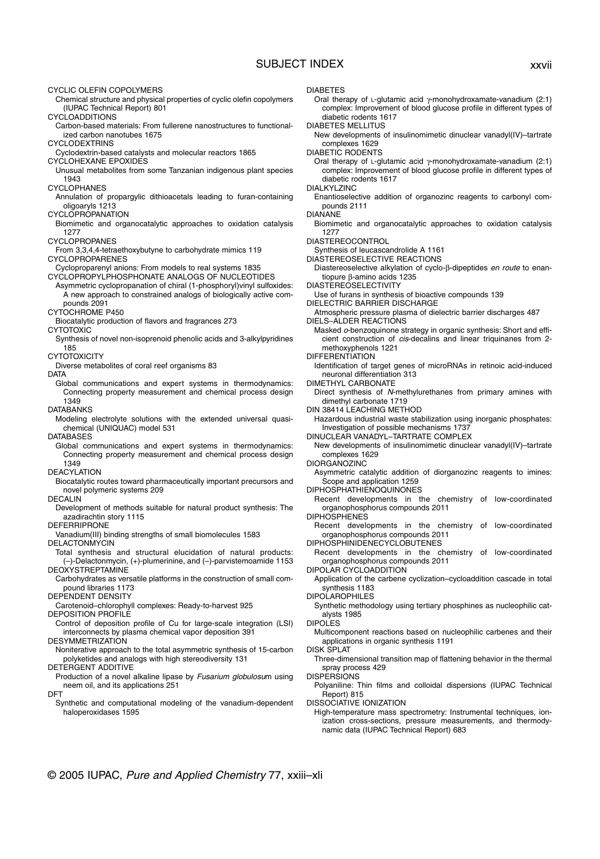## SUBJECT INDEX xxvii

CYCLIC OLEFIN COPOLYMERS

Chemical structure and physical properties of cyclic olefin copolymers (IUPAC Technical Report) 801

CYCLOADDITIONS

- Carbon-based materials: From fullerene nanostructures to functionalized carbon nanotubes 1675
- CYCLODEXTRINS
- Cyclodextrin-based catalysts and molecular reactors 1865
- CYCLOHEXANE EPOXIDES
- Unusual metabolites from some Tanzanian indigenous plant species 1943

CYCLOPHANES

- Annulation of propargylic dithioacetals leading to furan-containing oligoaryls 1213
- **CYCLOPROPANATION**
- Biomimetic and organocatalytic approaches to oxidation catalysis 1277
- CYCLOPROPANES
- From 3,3,4,4-tetraethoxybutyne to carbohydrate mimics 119 CYCLOPROPARENES
- Cycloproparenyl anions: From models to real systems 1835
- CYCLOPROPYLPHOSPHONATE ANALOGS OF NUCLEOTIDES Asymmetric cyclopropanation of chiral (1-phosphoryl)vinyl sulfoxides: A new approach to constrained analogs of biologically active com-
- pounds 2091 CYTOCHROME P450
- Biocatalytic production of flavors and fragrances 273
- **CYTOTOXIC**
- Synthesis of novel non-isoprenoid phenolic acids and 3-alkylpyridines 185
- **CYTOTOXICITY** Diverse metabolites of coral reef organisms 83
- **DATA**
- Global communications and expert systems in thermodynamics: Connecting property measurement and chemical process design 1349
- DATABANKS
- Modeling electrolyte solutions with the extended universal quasichemical (UNIQUAC) model 531
- DATABASES
	- Global communications and expert systems in thermodynamics: Connecting property measurement and chemical process design 1349
- DEACYLATION
- Biocatalytic routes toward pharmaceutically important precursors and novel polymeric systems 209
- DECALIN
- Development of methods suitable for natural product synthesis: The azadirachtin story 1115
- DEFERRIPRONE
- Vanadium(III) binding strengths of small biomolecules 1583

**DELACTONMYCIN** 

- Total synthesis and structural elucidation of natural products: (–)-Delactonmycin, (+)-plumerinine, and (–)-parvistemoamide 1153 DEOXYSTREPTAMINE
- Carbohydrates as versatile platforms in the construction of small compound libraries 1173

DEPENDENT DENSITY

- Carotenoid–chlorophyll complexes: Ready-to-harvest 925
- DEPOSITION PROFILE
- Control of deposition profile of Cu for large-scale integration (LSI) interconnects by plasma chemical vapor deposition 391
- DESYMMETRIZATION
- Noniterative approach to the total asymmetric synthesis of 15-carbon polyketides and analogs with high stereodiversity 131

DETERGENT ADDITIVE

- Production of a novel alkaline lipase by Fusarium globulosum using neem oil, and its applications 251
- DFT
- Synthetic and computational modeling of the vanadium-dependent haloperoxidases 1595
- DIABETES
	- Oral therapy of L-glutamic acid γ-monohydroxamate-vanadium (2:1) complex: Improvement of blood glucose profile in different types of diabetic rodents 1617

DIABETES MELLITUS

New developments of insulinomimetic dinuclear vanadyl(IV)–tartrate complexes 1629

DIABETIC RODENTS

- Oral therapy of L-glutamic acid γ-monohydroxamate-vanadium (2:1) complex: Improvement of blood glucose profile in different types of diabetic rodents 1617
- DIALKYLZINC
- Enantioselective addition of organozinc reagents to carbonyl compounds 2111
- DIANANE
- Biomimetic and organocatalytic approaches to oxidation catalysis 1277
- DIASTEREOCONTROL
- Synthesis of leucascandrolide A 1161
- DIASTEREOSELECTIVE REACTIONS
- Diastereoselective alkylation of cyclo-β-dipeptides en route to enantiopure β-amino acids 1235

DIASTEREOSELECTIVITY

- Use of furans in synthesis of bioactive compounds 139 DIELECTRIC BARRIER DISCHARGE
- Atmospheric pressure plasma of dielectric barrier discharges 487 DIELS–ALDER REACTIONS
- Masked o-benzoquinone strategy in organic synthesis: Short and efficient construction of cis-decalins and linear triquinanes from 2 methoxyphenols 1221
- **DIFFERENTIATION**
- Identification of target genes of microRNAs in retinoic acid-induced neuronal differentiation 313
- DIMETHYL CARBONATE
- Direct synthesis of N-methylurethanes from primary amines with dimethyl carbonate 1719
- DIN 38414 LEACHING METHOD
- Hazardous industrial waste stabilization using inorganic phosphates: Investigation of possible mechanisms 1737
- DINUCLEAR VANADYL–TARTRATE COMPLEX
- New developments of insulinomimetic dinuclear vanadyl(IV)–tartrate complexes 1629
- DIORGANOZINC
- Asymmetric catalytic addition of diorganozinc reagents to imines: Scope and application 1259
- DIPHOSPHATHIENOQUINONES
- Recent developments in the chemistry of low-coordinated organophosphorus compounds 2011
- **DIPHOSPHENES**
- Recent developments in the chemistry of low-coordinated organophosphorus compounds 2011
- DIPHOSPHINIDENECYCLOBUTENES
- Recent developments in the chemistry of low-coordinated organophosphorus compounds 2011
- DIPOLAR CYCLOADDITION
	- Application of the carbene cyclization–cycloaddition cascade in total synthesis 1183
- DIPOLAROPHILES

Synthetic methodology using tertiary phosphines as nucleophilic catalysts 1985

- DIPOLES
	- Multicomponent reactions based on nucleophilic carbenes and their applications in organic synthesis 1191
- DISK SPLAT
- Three-dimensional transition map of flattening behavior in the thermal spray process 429
- **DISPERSIONS**
- Polyaniline: Thin films and colloidal dispersions (IUPAC Technical Report) 815
- DISSOCIATIVE IONIZATION
- High-temperature mass spectrometry: Instrumental techniques, ionization cross-sections, pressure measurements, and thermodynamic data (IUPAC Technical Report) 683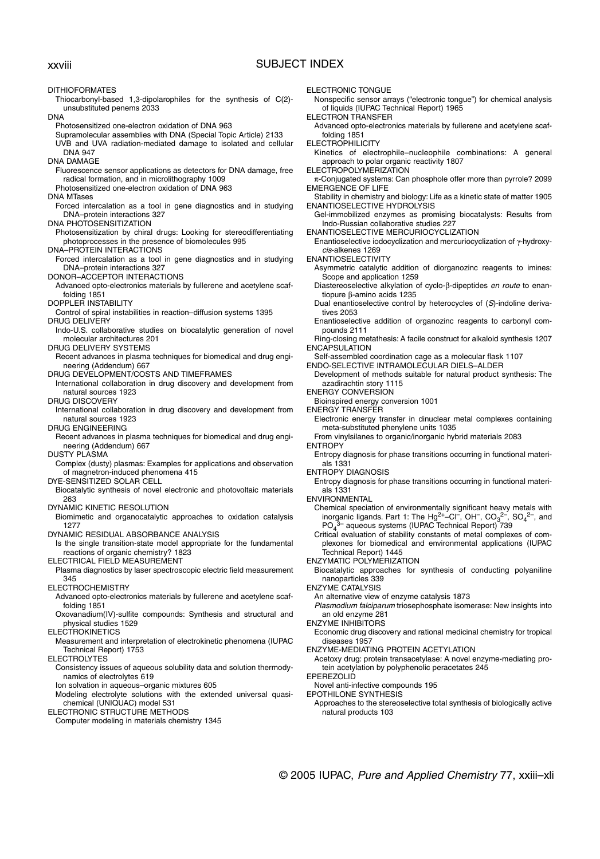## xxviii SUBJECT INDEX

DITHIOFORMATES

- Thiocarbonyl-based 1,3-dipolarophiles for the synthesis of C(2) unsubstituted penems 2033
- DNA
	- Photosensitized one-electron oxidation of DNA 963
	- Supramolecular assemblies with DNA (Special Topic Article) 2133
- UVB and UVA radiation-mediated damage to isolated and cellular DNA 947
- DNA DAMAGE
- Fluorescence sensor applications as detectors for DNA damage, free radical formation, and in microlithography 1009

Photosensitized one-electron oxidation of DNA 963

- DNA MTases
- Forced intercalation as a tool in gene diagnostics and in studying DNA–protein interactions 327
- DNA PHOTOSENSITIZATION
- Photosensitization by chiral drugs: Looking for stereodifferentiating photoprocesses in the presence of biomolecules 995
- DNA–PROTEIN INTERACTIONS
- Forced intercalation as a tool in gene diagnostics and in studying DNA–protein interactions 327
- DONOR–ACCEPTOR INTERACTIONS
- Advanced opto-electronics materials by fullerene and acetylene scaffolding 1851
- DOPPLER INSTABILITY
- Control of spiral instabilities in reaction–diffusion systems 1395 DRUG DELIVERY
- Indo-U.S. collaborative studies on biocatalytic generation of novel molecular architectures 201
- DRUG DELIVERY SYSTEMS
- Recent advances in plasma techniques for biomedical and drug engineering (Addendum) 667
- DRUG DEVELOPMENT/COSTS AND TIMEFRAMES
- International collaboration in drug discovery and development from natural sources 1923
- DRUG DISCOVERY
- International collaboration in drug discovery and development from natural sources 1923
- DRUG ENGINEERING
- Recent advances in plasma techniques for biomedical and drug engineering (Addendum) 667
- DUSTY PLASMA
- Complex (dusty) plasmas: Examples for applications and observation of magnetron-induced phenomena 415
- DYE-SENSITIZED SOLAR CELL
- Biocatalytic synthesis of novel electronic and photovoltaic materials 263
- DYNAMIC KINETIC RESOLUTION
- Biomimetic and organocatalytic approaches to oxidation catalysis 1277
- DYNAMIC RESIDUAL ABSORBANCE ANALYSIS
- Is the single transition-state model appropriate for the fundamental reactions of organic chemistry? 1823
- ELECTRICAL FIELD MEASUREMENT
- Plasma diagnostics by laser spectroscopic electric field measurement 345
- ELECTROCHEMISTRY
- Advanced opto-electronics materials by fullerene and acetylene scaffolding 1851
- Oxovanadium(IV)-sulfite compounds: Synthesis and structural and physical studies 1529
- ELECTROKINETICS
- Measurement and interpretation of electrokinetic phenomena (IUPAC Technical Report) 1753
- ELECTROLYTES
- Consistency issues of aqueous solubility data and solution thermodynamics of electrolytes 619
- Ion solvation in aqueous–organic mixtures 605
- Modeling electrolyte solutions with the extended universal quasichemical (UNIQUAC) model 531
- ELECTRONIC STRUCTURE METHODS
- Computer modeling in materials chemistry 1345
- ELECTRONIC TONGUE
- Nonspecific sensor arrays ("electronic tongue") for chemical analysis of liquids (IUPAC Technical Report) 1965
- ELECTRON TRANSFER
- Advanced opto-electronics materials by fullerene and acetylene scaffolding 1851
- **ELECTROPHILICITY**
- Kinetics of electrophile–nucleophile combinations: A general approach to polar organic reactivity 1807
- ELECTROPOLYMERIZATION
- π-Conjugated systems: Can phosphole offer more than pyrrole? 2099 EMERGENCE OF LIFE
- Stability in chemistry and biology: Life as a kinetic state of matter 1905 ENANTIOSELECTIVE HYDROLYSIS
- Gel-immobilized enzymes as promising biocatalysts: Results from Indo-Russian collaborative studies 227
- ENANTIOSELECTIVE MERCURIOCYCLIZATION
- Enantioselective iodocyclization and mercuriocyclization of γ-hydroxycis-alkenes 1269
- ENANTIOSELECTIVITY
	- Asymmetric catalytic addition of diorganozinc reagents to imines: Scope and application 1259
	- Diastereoselective alkylation of cyclo-β-dipeptides en route to enantiopure β-amino acids 1235
	- Dual enantioselective control by heterocycles of (S)-indoline derivatives 2053
	- Enantioselective addition of organozinc reagents to carbonyl compounds 2111
- Ring-closing metathesis: A facile construct for alkaloid synthesis 1207 ENCAPSULATION
- Self-assembled coordination cage as a molecular flask 1107
- ENDO-SELECTIVE INTRAMOLECULAR DIELS–ALDER
- Development of methods suitable for natural product synthesis: The azadirachtin story 1115
- ENERGY CONVERSION
- Bioinspired energy conversion 1001
- ENERGY TRANSFER
- Electronic energy transfer in dinuclear metal complexes containing meta-substituted phenylene units 1035
- From vinylsilanes to organic/inorganic hybrid materials 2083
- ENTROPY
	- Entropy diagnosis for phase transitions occurring in functional materials 1331
- ENTROPY DIAGNOSIS
- Entropy diagnosis for phase transitions occurring in functional materials 1331
- ENVIRONMENTAL
	- Chemical speciation of environmentally significant heavy metals with inorganic ligands. Part 1: The Hg<sup>2+</sup>-Cl<sup>-</sup>, OH<sup>-</sup>, CO<sub>3</sub><sup>2-</sup>, SO<sub>4</sub><sup>2-</sup>, and PO<sub>4</sub> 3– aqueous systems (IUPAC Technical Report) 739
- Critical evaluation of stability constants of metal complexes of complexones for biomedical and environmental applications (IUPAC Technical Report) 1445
- ENZYMATIC POLYMERIZATION
- Biocatalytic approaches for synthesis of conducting polyaniline nanoparticles 339
- ENZYME CATALYSIS
	- An alternative view of enzyme catalysis 1873
	- Plasmodium falciparum triosephosphate isomerase: New insights into an old enzyme 281
- ENZYME INHIBITORS
	- Economic drug discovery and rational medicinal chemistry for tropical diseases 1957
- ENZYME-MEDIATING PROTEIN ACETYLATION
- Acetoxy drug: protein transacetylase: A novel enzyme-mediating protein acetylation by polyphenolic peracetates 245
- **EPEREZOLID**
- Novel anti-infective compounds 195
- EPOTHILONE SYNTHESIS
- Approaches to the stereoselective total synthesis of biologically active natural products 103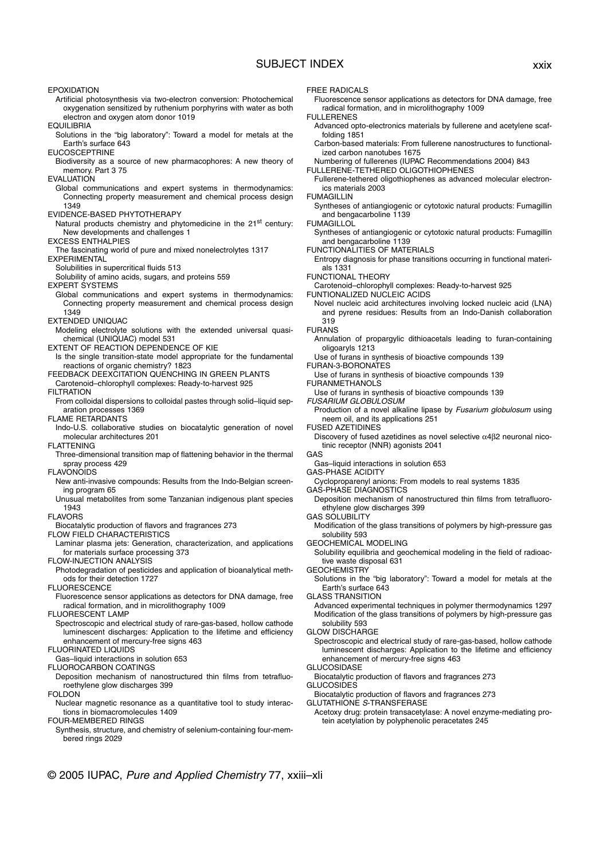## SUBJECT INDEX xxix

EPOXIDATION

- Artificial photosynthesis via two-electron conversion: Photochemical oxygenation sensitized by ruthenium porphyrins with water as both electron and oxygen atom donor 1019
- **EQUILIBRIA**
- Solutions in the "big laboratory": Toward a model for metals at the Earth's surface 643
- EUCOSCEPTRINE
- Biodiversity as a source of new pharmacophores: A new theory of memory. Part 3 75
- EVALUATION
- Global communications and expert systems in thermodynamics: Connecting property measurement and chemical process design 1349
- EVIDENCE-BASED PHYTOTHERAPY
- Natural products chemistry and phytomedicine in the 21<sup>st</sup> century: New developments and challenges 1 EXCESS ENTHALPIES
- The fascinating world of pure and mixed nonelectrolytes 1317
- EXPERIMENTAL
	- Solubilities in supercritical fluids 513
	- Solubility of amino acids, sugars, and proteins 559
- EXPERT SYSTEMS
- Global communications and expert systems in thermodynamics: Connecting property measurement and chemical process design 1349
- EXTENDED UNIQUAC
- Modeling electrolyte solutions with the extended universal quasichemical (UNIQUAC) model 531
- EXTENT OF REACTION DEPENDENCE OF KIE
- Is the single transition-state model appropriate for the fundamental reactions of organic chemistry? 1823
- FEEDBACK DEEXCITATION QUENCHING IN GREEN PLANTS Carotenoid–chlorophyll complexes: Ready-to-harvest 925
- FILTRATION
- From colloidal dispersions to colloidal pastes through solid–liquid sep-
- aration processes 1369

FLAME RETARDANTS

- Indo-U.S. collaborative studies on biocatalytic generation of novel molecular architectures 201
- FLATTENING
- Three-dimensional transition map of flattening behavior in the thermal spray process 429
- FLAVONOIDS
- New anti-invasive compounds: Results from the Indo-Belgian screening program 65
- Unusual metabolites from some Tanzanian indigenous plant species 1943
- **FLAVORS**
- Biocatalytic production of flavors and fragrances 273
- FLOW FIELD CHARACTERISTICS
- Laminar plasma jets: Generation, characterization, and applications for materials surface processing 373
- FLOW-INJECTION ANALYSIS
- Photodegradation of pesticides and application of bioanalytical methods for their detection 1727
- FLUORESCENCE
- Fluorescence sensor applications as detectors for DNA damage, free radical formation, and in microlithography 1009
- FLUORESCENT LAMP
- Spectroscopic and electrical study of rare-gas-based, hollow cathode luminescent discharges: Application to the lifetime and efficiency enhancement of mercury-free signs 463
- FLUORINATED LIQUIDS
- Gas–liquid interactions in solution 653
- FLUOROCARBON COATINGS
- Deposition mechanism of nanostructured thin films from tetrafluoroethylene glow discharges 399
- FOLDON
- Nuclear magnetic resonance as a quantitative tool to study interactions in biomacromolecules 1409
- FOUR-MEMBERED RINGS
	- Synthesis, structure, and chemistry of selenium-containing four-membered rings 2029
- **FREE RADICALS**
- Fluorescence sensor applications as detectors for DNA damage, free radical formation, and in microlithography 1009
- FULLERENES
- Advanced opto-electronics materials by fullerene and acetylene scaffolding 1851
- Carbon-based materials: From fullerene nanostructures to functionalized carbon nanotubes 1675
- Numbering of fullerenes (IUPAC Recommendations 2004) 843 FULLERENE-TETHERED OLIGOTHIOPHENES
- 
- Fullerene-tethered oligothiophenes as advanced molecular electronics materials 2003
- FUMAGILLIN
	- Syntheses of antiangiogenic or cytotoxic natural products: Fumagillin and bengacarboline 1139
- **FUMAGILLOL**
- Syntheses of antiangiogenic or cytotoxic natural products: Fumagillin and bengacarboline 1139
- FUNCTIONALITIES OF MATERIALS
- Entropy diagnosis for phase transitions occurring in functional materials 1331
- FUNCTIONAL THEORY
- Carotenoid–chlorophyll complexes: Ready-to-harvest 925
- FUNTIONALIZED NUCLEIC ACIDS
	- Novel nucleic acid architectures involving locked nucleic acid (LNA) and pyrene residues: Results from an Indo-Danish collaboration 319
- FURANS
	- Annulation of propargylic dithioacetals leading to furan-containing oligoaryls 1213
	- Use of furans in synthesis of bioactive compounds 139
- FURAN-3-BORONATES Use of furans in synthesis of bioactive compounds 139
- FURANMETHANOLS
- Use of furans in synthesis of bioactive compounds 139
- FUSARIUM GLOBULOSUM
- Production of a novel alkaline lipase by Fusarium globulosum using neem oil, and its applications 251
- FUSED AZETIDINES
	- Discovery of fused azetidines as novel selective  $α4β2$  neuronal nicotinic receptor (NNR) agonists 2041
- GAS
- Gas–liquid interactions in solution 653
- GAS-PHASE ACIDITY
- Cycloproparenyl anions: From models to real systems 1835
- GAS-PHASE DIAGNOSTICS
	- Deposition mechanism of nanostructured thin films from tetrafluoroethylene glow discharges 399
- GAS SOLUBILITY
	- Modification of the glass transitions of polymers by high-pressure gas solubility 593
- GEOCHEMICAL MODELING
- Solubility equilibria and geochemical modeling in the field of radioactive waste disposal 631
- **GEOCHEMISTRY** 
	- Solutions in the "big laboratory": Toward a model for metals at the Earth's surface 643
- **GLASS TRANSITION**
- Advanced experimental techniques in polymer thermodynamics 1297 Modification of the glass transitions of polymers by high-pressure gas solubility 593
- GLOW DISCHARGE
	- Spectroscopic and electrical study of rare-gas-based, hollow cathode luminescent discharges: Application to the lifetime and efficiency enhancement of mercury-free signs 463
- GLUCOSIDASE
- Biocatalytic production of flavors and fragrances 273 **GLUCOSIDES**
- Biocatalytic production of flavors and fragrances 273 GLUTATHIONE S-TRANSFERASE
- Acetoxy drug: protein transacetylase: A novel enzyme-mediating pro-
- tein acetylation by polyphenolic peracetates 245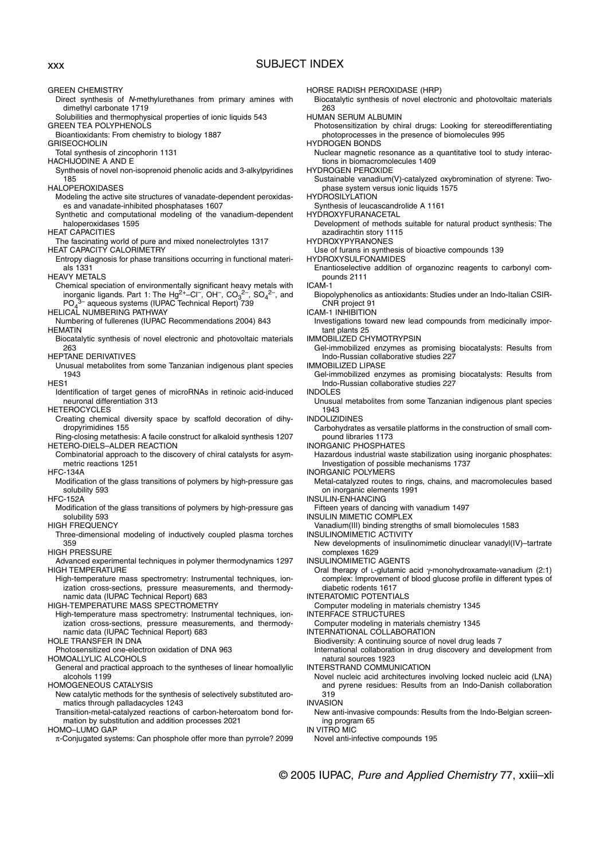## xxx SUBJECT INDEX

GREEN CHEMISTRY

- Direct synthesis of N-methylurethanes from primary amines with dimethyl carbonate 1719
- Solubilities and thermophysical properties of ionic liquids 543
- GREEN TEA POLYPHENOLS Bioantioxidants: From chemistry to biology 1887
- **GRISEOCHOLIN**
- Total synthesis of zincophorin 1131
- HACHIJODINE A AND E
- Synthesis of novel non-isoprenoid phenolic acids and 3-alkylpyridines 185
- HALOPEROXIDASES
	- Modeling the active site structures of vanadate-dependent peroxidases and vanadate-inhibited phosphatases 1607
- Synthetic and computational modeling of the vanadium-dependent haloperoxidases 1595
- HEAT CAPACITIES
- The fascinating world of pure and mixed nonelectrolytes 1317
- HEAT CAPACITY CALORIMETRY
- Entropy diagnosis for phase transitions occurring in functional materials 1331
- HEAVY METALS
- Chemical speciation of environmentally significant heavy metals with inorganic ligands. Part 1: The  $Hg^{2+}$ –Cl<sup>-</sup>, OH<sup>-</sup>, CO<sub>3</sub><sup>2-</sup>, SO<sub>4</sub><sup>2-</sup>, and PO<sub>4</sub><sup>3</sup> aqueous systems (IUPAC Technical Report) 739
- HELICAL NUMBERING PATHWAY
- Numbering of fullerenes (IUPAC Recommendations 2004) 843
- HEMATIN
- Biocatalytic synthesis of novel electronic and photovoltaic materials 263

HEPTANE DERIVATIVES

Unusual metabolites from some Tanzanian indigenous plant species 1943

HES1

Identification of target genes of microRNAs in retinoic acid-induced neuronal differentiation 313

**HETEROCYCLES** 

- Creating chemical diversity space by scaffold decoration of dihydropyrimidines 155
- Ring-closing metathesis: A facile construct for alkaloid synthesis 1207 HETERO-DIELS–ALDER REACTION
- Combinatorial approach to the discovery of chiral catalysts for asymmetric reactions 1251
- HFC-134A
- Modification of the glass transitions of polymers by high-pressure gas solubility 593
- HFC-152A
- Modification of the glass transitions of polymers by high-pressure gas solubility 593
- HIGH FREQUENCY
- Three-dimensional modeling of inductively coupled plasma torches 359

HIGH PRESSURE

- Advanced experimental techniques in polymer thermodynamics 1297 HIGH TEMPERATURE
- High-temperature mass spectrometry: Instrumental techniques, ionization cross-sections, pressure measurements, and thermodynamic data (IUPAC Technical Report) 683

HIGH-TEMPERATURE MASS SPECTROMETRY

- High-temperature mass spectrometry: Instrumental techniques, ionization cross-sections, pressure measurements, and thermodynamic data (IUPAC Technical Report) 683
- HOLE TRANSFER IN DNA
- Photosensitized one-electron oxidation of DNA 963

HOMOALLYLIC ALCOHOLS

- General and practical approach to the syntheses of linear homoallylic alcohols 1199
- HOMOGENEOUS CATALYSIS
	- New catalytic methods for the synthesis of selectively substituted aromatics through palladacycles 1243
- Transition-metal-catalyzed reactions of carbon-heteroatom bond formation by substitution and addition processes 2021

HOMO–LUMO GAP

π-Conjugated systems: Can phosphole offer more than pyrrole? 2099

HORSE RADISH PEROXIDASE (HRP)

Biocatalytic synthesis of novel electronic and photovoltaic materials 263

HUMAN SERUM ALBUMIN

Photosensitization by chiral drugs: Looking for stereodifferentiating photoprocesses in the presence of biomolecules 995

HYDROGEN BONDS

Nuclear magnetic resonance as a quantitative tool to study interactions in biomacromolecules 1409

HYDROGEN PEROXIDE

Sustainable vanadium(V)-catalyzed oxybromination of styrene: Twophase system versus ionic liquids 1575

HYDROSILYLATION

Synthesis of leucascandrolide A 1161

HYDROXYFURANACETAL

- Development of methods suitable for natural product synthesis: The azadirachtin story 1115
- HYDROXYPYRANONES

Use of furans in synthesis of bioactive compounds 139

- HYDROXYSULFONAMIDES
- Enantioselective addition of organozinc reagents to carbonyl compounds 2111

ICAM-1

- Biopolyphenolics as antioxidants: Studies under an Indo-Italian CSIR-CNR project 91
- ICAM-1 INHIBITION

Investigations toward new lead compounds from medicinally important plants 25

IMMOBILIZED CHYMOTRYPSIN

Gel-immobilized enzymes as promising biocatalysts: Results from Indo-Russian collaborative studies 227

- IMMOBILIZED LIPASE
- Gel-immobilized enzymes as promising biocatalysts: Results from Indo-Russian collaborative studies 227

INDOLES

Unusual metabolites from some Tanzanian indigenous plant species 1943

INDOLIZIDINES

Carbohydrates as versatile platforms in the construction of small compound libraries 1173

INORGANIC PHOSPHATES

Hazardous industrial waste stabilization using inorganic phosphates: Investigation of possible mechanisms 1737

- INORGANIC POLYMERS
- Metal-catalyzed routes to rings, chains, and macromolecules based on inorganic elements 1991
- INSULIN-ENHANCING

Fifteen years of dancing with vanadium 1497

- INSULIN MIMETIC COMPLEX
- Vanadium(III) binding strengths of small biomolecules 1583
- INSULINOMIMETIC ACTIVITY
- New developments of insulinomimetic dinuclear vanadyl(IV)–tartrate complexes 1629

INSULINOMIMETIC AGENTS

Oral therapy of L-glutamic acid γ-monohydroxamate-vanadium (2:1) complex: Improvement of blood glucose profile in different types of diabetic rodents 1617

INTERATOMIC POTENTIALS

Computer modeling in materials chemistry 1345

INTERFACE STRUCTURES

Computer modeling in materials chemistry 1345

INTERNATIONAL COLLABORATION

Biodiversity: A continuing source of novel drug leads 7 International collaboration in drug discovery and development from

© 2005 IUPAC, Pure and Applied Chemistry 77, xxiii–xli

natural sources 1923

Novel anti-infective compounds 195

INTERSTRAND COMMUNICATION

Novel nucleic acid architectures involving locked nucleic acid (LNA) and pyrene residues: Results from an Indo-Danish collaboration 319

INVASION New anti-invasive compounds: Results from the Indo-Belgian screen-

ing program 65 IN VITRO MIC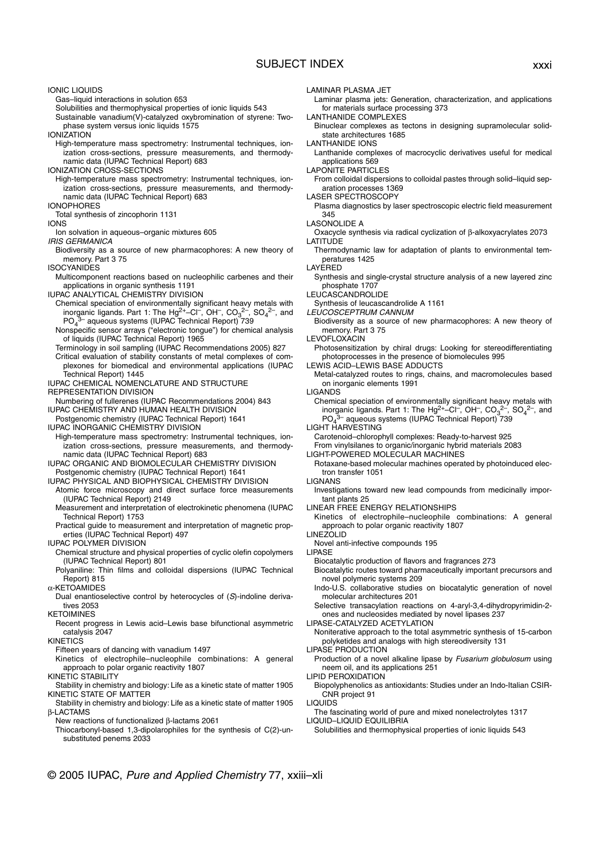## SUBJECT INDEX xxxi

IONIC LIQUIDS

Gas–liquid interactions in solution 653

Solubilities and thermophysical properties of ionic liquids 543

Sustainable vanadium(V)-catalyzed oxybromination of styrene: Twophase system versus ionic liquids 1575

**IONIZATION** 

High-temperature mass spectrometry: Instrumental techniques, ionization cross-sections, pressure measurements, and thermodynamic data (IUPAC Technical Report) 683

IONIZATION CROSS-SECTIONS

High-temperature mass spectrometry: Instrumental techniques, ionization cross-sections, pressure measurements, and thermodynamic data (IUPAC Technical Report) 683

### IONOPHORES

### Total synthesis of zincophorin 1131

IONS

- Ion solvation in aqueous–organic mixtures 605
- IRIS GERMANICA Biodiversity as a source of new pharmacophores: A new theory of
- memory. Part 3 75

ISOCYANIDES

Multicomponent reactions based on nucleophilic carbenes and their applications in organic synthesis 1191

IUPAC ANALYTICAL CHEMISTRY DIVISION

- Chemical speciation of environmentally significant heavy metals with inorganic ligands. Part 1: The Hg<sup>2+</sup>-Cl<sup>-</sup>, OH<sup>-</sup>, CO<sub>3</sub><sup>2-</sup> <sup>2–</sup>, SO<sub>4</sub><sup>2–</sup>, and  $PO<sub>4</sub>$ <sup>3-</sup> aqueous systems (IUPAC Technical Report) 739
- Nonspecific sensor arrays ("electronic tongue") for chemical analysis of liquids (IUPAC Technical Report) 1965
- Terminology in soil sampling (IUPAC Recommendations 2005) 827
- Critical evaluation of stability constants of metal complexes of complexones for biomedical and environmental applications (IUPAC Technical Report) 1445
- IUPAC CHEMICAL NOMENCLATURE AND STRUCTURE REPRESENTATION DIVISION

- Numbering of fullerenes (IUPAC Recommendations 2004) 843 IUPAC CHEMISTRY AND HUMAN HEALTH DIVISION
- Postgenomic chemistry (IUPAC Technical Report) 1641

IUPAC INORGANIC CHEMISTRY DIVISION

- High-temperature mass spectrometry: Instrumental techniques, ionization cross-sections, pressure measurements, and thermodynamic data (IUPAC Technical Report) 683
- IUPAC ORGANIC AND BIOMOLECULAR CHEMISTRY DIVISION Postgenomic chemistry (IUPAC Technical Report) 1641
- IUPAC PHYSICAL AND BIOPHYSICAL CHEMISTRY DIVISION
- Atomic force microscopy and direct surface force measurements (IUPAC Technical Report) 2149
- Measurement and interpretation of electrokinetic phenomena (IUPAC Technical Report) 1753
- Practical guide to measurement and interpretation of magnetic properties (IUPAC Technical Report) 497

IUPAC POLYMER DIVISION

- Chemical structure and physical properties of cyclic olefin copolymers (IUPAC Technical Report) 801
- Polyaniline: Thin films and colloidal dispersions (IUPAC Technical Report) 815

α-KETOAMIDES

- Dual enantioselective control by heterocycles of (S)-indoline derivatives 2053
- **KFTOIMINES**

Recent progress in Lewis acid–Lewis base bifunctional asymmetric catalysis 2047

**KINETICS** 

- Fifteen years of dancing with vanadium 1497
- Kinetics of electrophile–nucleophile combinations: A general approach to polar organic reactivity 1807
- KINETIC STABILITY
- Stability in chemistry and biology: Life as a kinetic state of matter 1905 KINETIC STATE OF MATTER
- Stability in chemistry and biology: Life as a kinetic state of matter 1905 β-LACTAMS

New reactions of functionalized β-lactams 2061

Thiocarbonyl-based 1,3-dipolarophiles for the synthesis of C(2)-unsubstituted penems 2033

LAMINAR PLASMA JET

Laminar plasma jets: Generation, characterization, and applications for materials surface processing 373

LANTHANIDE COMPLEXES

Binuclear complexes as tectons in designing supramolecular solidstate architectures 1685

LANTHANIDE IONS

- Lanthanide complexes of macrocyclic derivatives useful for medical applications 569
- LAPONITE PARTICLES

From colloidal dispersions to colloidal pastes through solid–liquid separation processes 1369

LASER SPECTROSCOPY

Plasma diagnostics by laser spectroscopic electric field measurement 345

- LASONOLIDE A
- Oxacycle synthesis via radical cyclization of β-alkoxyacrylates 2073 LATITUDE
- Thermodynamic law for adaptation of plants to environmental temperatures 1425

LAYERED

- Synthesis and single-crystal structure analysis of a new layered zinc phosphate 1707
- LEUCASCANDROLIDE
- Synthesis of leucascandrolide A 1161

LEUCOSCEPTRUM CANNUM

Biodiversity as a source of new pharmacophores: A new theory of memory. Part 3 75

LEVOFLOXACIN

Photosensitization by chiral drugs: Looking for stereodifferentiating photoprocesses in the presence of biomolecules 995

LEWIS ACID–LEWIS BASE ADDUCTS

Metal-catalyzed routes to rings, chains, and macromolecules based on inorganic elements 1991

LIGANDS

Chemical speciation of environmentally significant heavy metals with inorganic ligands. Part 1: The Hg<sup>2+</sup>-Cl<sup>-</sup>, OH<sup>-</sup>, CO<sub>3</sub><sup>2-</sup>, SO<sub>4</sub><sup>2-</sup>, and PO. <sup>3-</sup> aqueous systems (IUPAC Technical Report) 739

LIGHT HARVESTING

- Carotenoid–chlorophyll complexes: Ready-to-harvest 925
- From vinylsilanes to organic/inorganic hybrid materials 2083 LIGHT-POWERED MOLECULAR MACHINES
- Rotaxane-based molecular machines operated by photoinduced electron transfer 1051
- LIGNANS
	- Investigations toward new lead compounds from medicinally important plants 25
- LINEAR FREE ENERGY RELATIONSHIPS
	- Kinetics of electrophile–nucleophile combinations: A general approach to polar organic reactivity 1807
- LINEZOLID
- Novel anti-infective compounds 195
- LIPASE
	- Biocatalytic production of flavors and fragrances 273
- Biocatalytic routes toward pharmaceutically important precursors and novel polymeric systems 209
- Indo-U.S. collaborative studies on biocatalytic generation of novel molecular architectures 201
- Selective transacylation reactions on 4-aryl-3,4-dihydropyrimidin-2 ones and nucleosides mediated by novel lipases 237

LIPASE-CATALYZED ACETYLATION

- Noniterative approach to the total asymmetric synthesis of 15-carbon polyketides and analogs with high stereodiversity 131
- LIPASE PRODUCTION
- Production of a novel alkaline lipase by Fusarium globulosum using neem oil, and its applications 251
- LIPID PEROXIDATION
- Biopolyphenolics as antioxidants: Studies under an Indo-Italian CSIR-CNR project 91

LIQUIDS

- The fascinating world of pure and mixed nonelectrolytes 1317 LIQUID–LIQUID EQUILIBRIA
- Solubilities and thermophysical properties of ionic liquids 543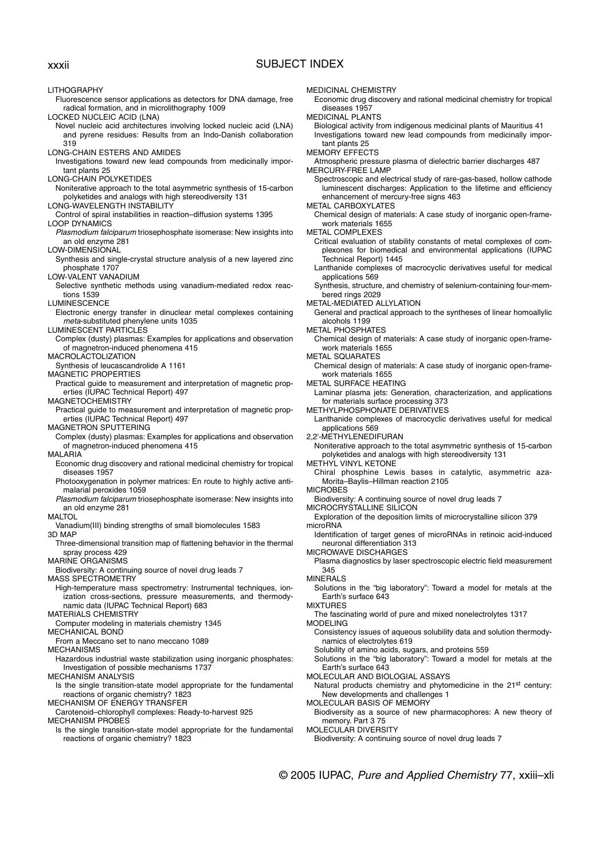## xxxii SUBJECT INDEX

LITHOGRAPHY Fluorescence sensor applications as detectors for DNA damage, free radical formation, and in microlithography 1009 LOCKED NUCLEIC ACID (LNA) Novel nucleic acid architectures involving locked nucleic acid (LNA) and pyrene residues: Results from an Indo-Danish collaboration 319 LONG-CHAIN ESTERS AND AMIDES Investigations toward new lead compounds from medicinally important plants 25 LONG-CHAIN POLYKETIDES Noniterative approach to the total asymmetric synthesis of 15-carbon polyketides and analogs with high stereodiversity 131 LONG-WAVELENGTH INSTABILITY Control of spiral instabilities in reaction–diffusion systems 1395 LOOP DYNAMICS Plasmodium falciparum triosephosphate isomerase: New insights into an old enzyme 281 LOW-DIMENSIONAL Synthesis and single-crystal structure analysis of a new layered zinc phosphate 1707 LOW-VALENT VANADIUM Selective synthetic methods using vanadium-mediated redox reactions 1539 LUMINESCENCE Electronic energy transfer in dinuclear metal complexes containing meta-substituted phenylene units 1035 LUMINESCENT PARTICLES Complex (dusty) plasmas: Examples for applications and observation of magnetron-induced phenomena 415 MACROLACTOLIZATION Synthesis of leucascandrolide A 1161 MAGNETIC PROPERTIES Practical guide to measurement and interpretation of magnetic properties (IUPAC Technical Report) 497 MAGNETOCHEMISTRY Practical guide to measurement and interpretation of magnetic properties (IUPAC Technical Report) 497 MAGNETRON SPUTTERING Complex (dusty) plasmas: Examples for applications and observation of magnetron-induced phenomena 415 MALARIA Economic drug discovery and rational medicinal chemistry for tropical diseases 1957 Photooxygenation in polymer matrices: En route to highly active antimalarial peroxides 1059 Plasmodium falciparum triosephosphate isomerase: New insights into an old enzyme 281 MALTOL Vanadium(III) binding strengths of small biomolecules 1583 3D MAP Three-dimensional transition map of flattening behavior in the thermal spray process 429 MARINE ORGANISMS Biodiversity: A continuing source of novel drug leads 7 MASS SPECTROMETRY High-temperature mass spectrometry: Instrumental techniques, ionization cross-sections, pressure measurements, and thermodynamic data (IUPAC Technical Report) 683 MATERIALS CHEMISTRY Computer modeling in materials chemistry 1345 MECHANICAL BOND From a Meccano set to nano meccano 1089 MECHANISMS Hazardous industrial waste stabilization using inorganic phosphates: Investigation of possible mechanisms 1737 MECHANISM ANALYSIS Is the single transition-state model appropriate for the fundamental reactions of organic chemistry? 1823 MECHANISM OF ENERGY TRANSFER Carotenoid–chlorophyll complexes: Ready-to-harvest 925 MECHANISM PROBES Is the single transition-state model appropriate for the fundamental reactions of organic chemistry? 1823 MEDICINAL CHEMISTRY Economic drug discovery and rational medicinal chemistry for tropical diseases 1957 MEDICINAL PLANTS Biological activity from indigenous medicinal plants of Mauritius 41 Investigations toward new lead compounds from medicinally important plants 25 MEMORY EFFECTS Atmospheric pressure plasma of dielectric barrier discharges 487 MERCURY-FREE LAMP Spectroscopic and electrical study of rare-gas-based, hollow cathode luminescent discharges: Application to the lifetime and efficiency enhancement of mercury-free signs 463 METAL CARBOXYLATES Chemical design of materials: A case study of inorganic open-framework materials 1655 METAL COMPLEXES Critical evaluation of stability constants of metal complexes of complexones for biomedical and environmental applications (IUPAC Technical Report) 1445 Lanthanide complexes of macrocyclic derivatives useful for medical applications 569 Synthesis, structure, and chemistry of selenium-containing four-membered rings 2029 METAL-MEDIATED ALLYLATION General and practical approach to the syntheses of linear homoallylic alcohols 1199 METAL PHOSPHATES Chemical design of materials: A case study of inorganic open-framework materials 1655 METAL SQUARATES Chemical design of materials: A case study of inorganic open-framework materials 1655 METAL SURFACE HEATING Laminar plasma jets: Generation, characterization, and applications for materials surface processing 373 METHYLPHOSPHONATE DERIVATIVES Lanthanide complexes of macrocyclic derivatives useful for medical applications 569 2,2'-METHYLENEDIFURAN Noniterative approach to the total asymmetric synthesis of 15-carbon polyketides and analogs with high stereodiversity 131 METHYL VINYL KETONE Chiral phosphine Lewis bases in catalytic, asymmetric aza-Morita–Baylis–Hillman reaction 2105 **MICROBES** Biodiversity: A continuing source of novel drug leads 7 MICROCRYSTALLINE SILICON Exploration of the deposition limits of microcrystalline silicon 379 microRNA Identification of target genes of microRNAs in retinoic acid-induced neuronal differentiation 313 MICROWAVE DISCHARGES Plasma diagnostics by laser spectroscopic electric field measurement 345 MINERALS Solutions in the "big laboratory": Toward a model for metals at the Earth's surface 643 MIXTURES The fascinating world of pure and mixed nonelectrolytes 1317 MODELING Consistency issues of aqueous solubility data and solution thermodynamics of electrolytes 619 Solubility of amino acids, sugars, and proteins 559 Solutions in the "big laboratory": Toward a model for metals at the Earth's surface 643 MOLECULAR AND BIOLOGIAL ASSAYS Natural products chemistry and phytomedicine in the 21<sup>st</sup> century: New developments and challenges 1 MOLECULAR BASIS OF MEMORY Biodiversity as a source of new pharmacophores: A new theory of memory. Part 3 75 MOLECULAR DIVERSITY Biodiversity: A continuing source of novel drug leads 7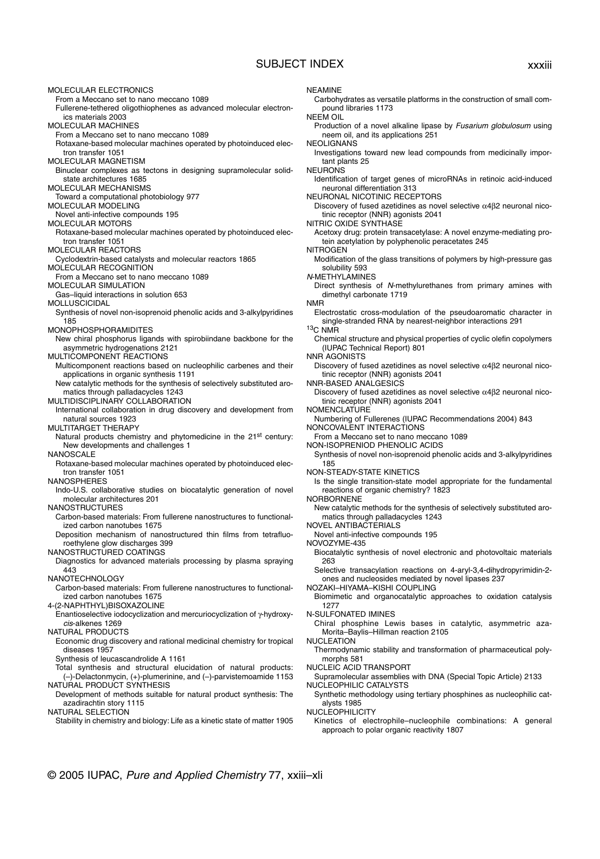## SUBJECT INDEX xxxiii

MOLECULAR ELECTRONICS From a Meccano set to nano meccano 1089 Fullerene-tethered oligothiophenes as advanced molecular electronics materials 2003 MOLECULAR MACHINES From a Meccano set to nano meccano 1089 Rotaxane-based molecular machines operated by photoinduced electron transfer 1051 MOLECULAR MAGNETISM Binuclear complexes as tectons in designing supramolecular solidstate architectures 1685 MOLECULAR MECHANISMS Toward a computational photobiology 977 MOLECULAR MODELING Novel anti-infective compounds 195 MOLECULAR MOTORS Rotaxane-based molecular machines operated by photoinduced electron transfer 1051 MOLECULAR REACTORS Cyclodextrin-based catalysts and molecular reactors 1865 MOLECULAR RECOGNITION From a Meccano set to nano meccano 1089 MOLECULAR SIMULATION Gas–liquid interactions in solution 653 MOLLUSCICIDAL Synthesis of novel non-isoprenoid phenolic acids and 3-alkylpyridines 185 MONOPHOSPHORAMIDITES New chiral phosphorus ligands with spirobiindane backbone for the asymmetric hydrogenations 2121 MULTICOMPONENT REACTIONS Multicomponent reactions based on nucleophilic carbenes and their applications in organic synthesis 1191 New catalytic methods for the synthesis of selectively substituted aromatics through palladacycles 1243 MULTIDISCIPLINARY COLLABORATION International collaboration in drug discovery and development from natural sources 1923 MULTITARGET THERAPY Natural products chemistry and phytomedicine in the 21<sup>st</sup> century: New developments and challenges 1 NANOSCALE Rotaxane-based molecular machines operated by photoinduced electron transfer 1051 NANOSPHERES Indo-U.S. collaborative studies on biocatalytic generation of novel molecular architectures 201 **NANOSTRUCTURES** Carbon-based materials: From fullerene nanostructures to functionalized carbon nanotubes 1675 Deposition mechanism of nanostructured thin films from tetrafluoroethylene glow discharges 399 NANOSTRUCTURED COATINGS Diagnostics for advanced materials processing by plasma spraying 443 NANOTECHNOLOGY Carbon-based materials: From fullerene nanostructures to functionalized carbon nanotubes 1675 4-(2-NAPHTHYL)BISOXAZOLINE Enantioselective iodocyclization and mercuriocyclization of γ-hydroxycis-alkenes 1269 NATURAL PRODUCTS Economic drug discovery and rational medicinal chemistry for tropical diseases 1957 Synthesis of leucascandrolide A 1161 Total synthesis and structural elucidation of natural products: (–)-Delactonmycin, (+)-plumerinine, and (–)-parvistemoamide 1153 NATURAL PRODUCT SYNTHESIS

Development of methods suitable for natural product synthesis: The azadirachtin story 1115

NATURAL SELECTION

Stability in chemistry and biology: Life as a kinetic state of matter 1905

NEAMINE

Carbohydrates as versatile platforms in the construction of small compound libraries 1173

NEEM OIL

Production of a novel alkaline lipase by Fusarium globulosum using neem oil, and its applications 251

NEOLIGNANS

Investigations toward new lead compounds from medicinally important plants 25

NEURONS

Identification of target genes of microRNAs in retinoic acid-induced neuronal differentiation 313

NEURONAL NICOTINIC RECEPTORS

Discovery of fused azetidines as novel selective  $α4β2$  neuronal nicotinic receptor (NNR) agonists 2041

NITRIC OXIDE SYNTHASE

Acetoxy drug: protein transacetylase: A novel enzyme-mediating protein acetylation by polyphenolic peracetates 245

**NITROGEN** 

Modification of the glass transitions of polymers by high-pressure gas solubility 593

N-METHYLAMINES

Direct synthesis of N-methylurethanes from primary amines with dimethyl carbonate 1719

NMR

Electrostatic cross-modulation of the pseudoaromatic character in single-stranded RNA by nearest-neighbor interactions 291 13C NMR

Chemical structure and physical properties of cyclic olefin copolymers (IUPAC Technical Report) 801

NNR AGONISTS

Discovery of fused azetidines as novel selective  $\alpha$ 4 $\beta$ 2 neuronal nicotinic receptor (NNR) agonists 2041

NNR-BASED ANALGESICS

Discovery of fused azetidines as novel selective α4β2 neuronal nicotinic receptor (NNR) agonists 2041

NOMENCLATURE

Numbering of Fullerenes (IUPAC Recommendations 2004) 843 NONCOVALENT INTERACTIONS

From a Meccano set to nano meccano 1089

NON-ISOPRENIOD PHENOLIC ACIDS

Synthesis of novel non-isoprenoid phenolic acids and 3-alkylpyridines 185

NON-STEADY-STATE KINETICS

Is the single transition-state model appropriate for the fundamental reactions of organic chemistry? 1823

NORBORNENE

New catalytic methods for the synthesis of selectively substituted aromatics through palladacycles 1243

NOVEL ANTIBACTERIALS Novel anti-infective compounds 195

NOVOZYME-435

Biocatalytic synthesis of novel electronic and photovoltaic materials

263 Selective transacylation reactions on 4-aryl-3,4-dihydropyrimidin-2-

ones and nucleosides mediated by novel lipases 237 NOZAKI–HIYAMA–KISHI COUPLING

Biomimetic and organocatalytic approaches to oxidation catalysis 1277

### N-SULFONATED IMINES

Chiral phosphine Lewis bases in catalytic, asymmetric aza-Morita–Baylis–Hillman reaction 2105

NUCLEATION

Thermodynamic stability and transformation of pharmaceutical polymorphs 581

NUCLEIC ACID TRANSPORT

Supramolecular assemblies with DNA (Special Topic Article) 2133 NUCLEOPHILIC CATALYSTS

Synthetic methodology using tertiary phosphines as nucleophilic catalysts 1985

NUCLEOPHILICITY

Kinetics of electrophile–nucleophile combinations: A general approach to polar organic reactivity 1807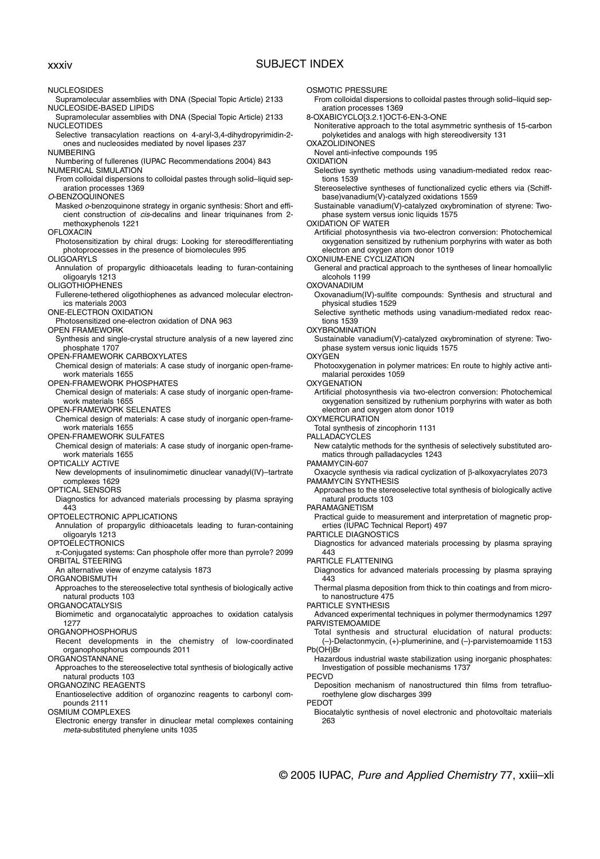## xxxiv SUBJECT INDEX

NUCLEOSIDES Supramolecular assemblies with DNA (Special Topic Article) 2133 NUCLEOSIDE-BASED LIPIDS Supramolecular assemblies with DNA (Special Topic Article) 2133 NUCLEOTIDES Selective transacylation reactions on 4-aryl-3,4-dihydropyrimidin-2 ones and nucleosides mediated by novel lipases 237 NUMBERING Numbering of fullerenes (IUPAC Recommendations 2004) 843 NUMERICAL SIMULATION From colloidal dispersions to colloidal pastes through solid–liquid separation processes 1369 O-BENZOQUINONES Masked o-benzoquinone strategy in organic synthesis: Short and efficient construction of cis-decalins and linear triquinanes from 2 methoxyphenols 1221 **OFLOXACIN** Photosensitization by chiral drugs: Looking for stereodifferentiating photoprocesses in the presence of biomolecules 995 OLIGOARYLS Annulation of propargylic dithioacetals leading to furan-containing oligoaryls 1213 **OLIGOTHIOPHENES** Fullerene-tethered oligothiophenes as advanced molecular electronics materials 2003 ONE-ELECTRON OXIDATION Photosensitized one-electron oxidation of DNA 963 OPEN FRAMEWORK Synthesis and single-crystal structure analysis of a new layered zinc phosphate 1707 OPEN-FRAMEWORK CARBOXYLATES Chemical design of materials: A case study of inorganic open-framework materials 1655 OPEN-FRAMEWORK PHOSPHATES Chemical design of materials: A case study of inorganic open-framework materials 1655 OPEN-FRAMEWORK SELENATES Chemical design of materials: A case study of inorganic open-framework materials 1655 OPEN-FRAMEWORK SULFATES Chemical design of materials: A case study of inorganic open-framework materials 1655 OPTICALLY ACTIVE New developments of insulinomimetic dinuclear vanadyl(IV)–tartrate complexes 1629 OPTICAL SENSORS Diagnostics for advanced materials processing by plasma spraying 443 OPTOELECTRONIC APPLICATIONS Annulation of propargylic dithioacetals leading to furan-containing oligoaryls 1213 **OPTOELECTRONICS** π-Conjugated systems: Can phosphole offer more than pyrrole? 2099 ORBITAL STEERING An alternative view of enzyme catalysis 1873 ORGANOBISMUTH Approaches to the stereoselective total synthesis of biologically active natural products 103 **ORGANOCATALYSIS** Biomimetic and organocatalytic approaches to oxidation catalysis 1277 ORGANOPHOSPHORUS Recent developments in the chemistry of low-coordinated organophosphorus compounds 2011 ORGANOSTANNANE Approaches to the stereoselective total synthesis of biologically active natural products 103 ORGANOZINC REAGENTS Enantioselective addition of organozinc reagents to carbonyl compounds 2111 OSMIUM COMPLEXES Electronic energy transfer in dinuclear metal complexes containing meta-substituted phenylene units 1035 OSMOTIC PRESSURE aration processes 1369 **OXAZOLIDINONES** Novel anti-infective compounds 195 **OXIDATION** tions 1539 OXIDATION OF WATER OXONIUM-ENE CYCLIZATION alcohols 1199 OXOVANADIUM tions 1539 **OXYBROMINATION OXYGEN OXYGENATION** OXYMERCURATION Total synthesis of zincophorin 1131 PALLADACYCLES PAMAMYCIN-607 PARAMAGNETISM PARTICLE DIAGNOSTICS 443 PARTICLE FLATTENING 443 PARTICLE SYNTHESIS PARVISTEMOAMIDE Pb(OH)Br PECVD **PEDOT** 263

From colloidal dispersions to colloidal pastes through solid–liquid sep-

8-OXABICYCLO[3.2.1]OCT-6-EN-3-ONE

Noniterative approach to the total asymmetric synthesis of 15-carbon polyketides and analogs with high stereodiversity 131

Selective synthetic methods using vanadium-mediated redox reac-

Stereoselective syntheses of functionalized cyclic ethers via (Schiffbase)vanadium(V)-catalyzed oxidations 1559

Sustainable vanadium(V)-catalyzed oxybromination of styrene: Twophase system versus ionic liquids 1575

Artificial photosynthesis via two-electron conversion: Photochemical oxygenation sensitized by ruthenium porphyrins with water as both electron and oxygen atom donor 1019

General and practical approach to the syntheses of linear homoallylic

Oxovanadium(IV)-sulfite compounds: Synthesis and structural and physical studies 1529

Selective synthetic methods using vanadium-mediated redox reac-

Sustainable vanadium(V)-catalyzed oxybromination of styrene: Twophase system versus ionic liquids 1575

Photooxygenation in polymer matrices: En route to highly active antimalarial peroxides 1059

Artificial photosynthesis via two-electron conversion: Photochemical oxygenation sensitized by ruthenium porphyrins with water as both electron and oxygen atom donor 1019

New catalytic methods for the synthesis of selectively substituted aromatics through palladacycles 1243

Oxacycle synthesis via radical cyclization of β-alkoxyacrylates 2073 PAMAMYCIN SYNTHESIS

Approaches to the stereoselective total synthesis of biologically active natural products 103

Practical guide to measurement and interpretation of magnetic properties (IUPAC Technical Report) 497

Diagnostics for advanced materials processing by plasma spraying

Diagnostics for advanced materials processing by plasma spraying

Thermal plasma deposition from thick to thin coatings and from microto nanostructure 475

Advanced experimental techniques in polymer thermodynamics 1297

Total synthesis and structural elucidation of natural products: (–)-Delactonmycin, (+)-plumerinine, and (–)-parvistemoamide 1153

Hazardous industrial waste stabilization using inorganic phosphates: Investigation of possible mechanisms 1737

Deposition mechanism of nanostructured thin films from tetrafluoroethylene glow discharges 399

Biocatalytic synthesis of novel electronic and photovoltaic materials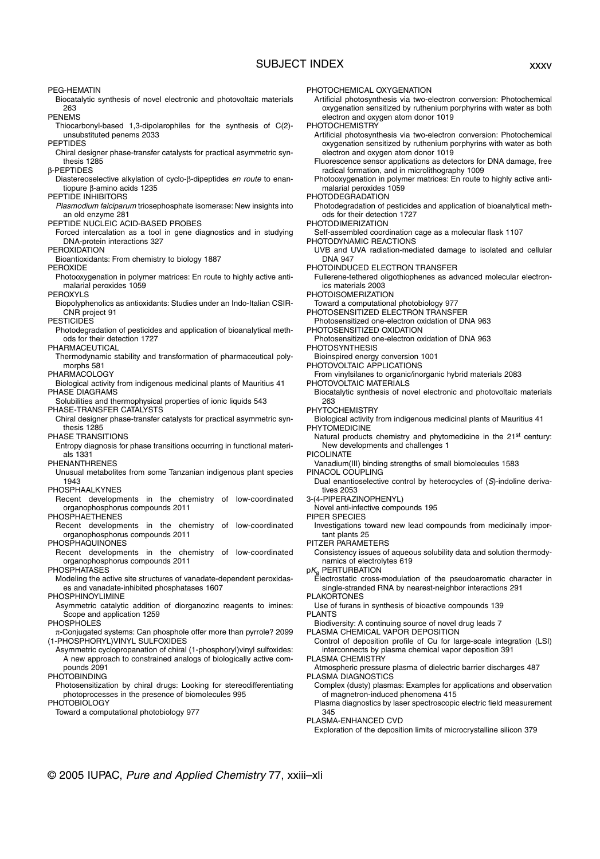## SUBJECT INDEX xxxv

PEG-HEMATIN Biocatalytic synthesis of novel electronic and photovoltaic materials 263 PENEMS Thiocarbonyl-based 1,3-dipolarophiles for the synthesis of C(2) unsubstituted penems 2033 PEPTIDES Chiral designer phase-transfer catalysts for practical asymmetric synthesis 1285 β-PEPTIDES Diastereoselective alkylation of cyclo-β-dipeptides en route to enantiopure β-amino acids 1235 PEPTIDE INHIBITORS Plasmodium falciparum triosephosphate isomerase: New insights into an old enzyme 281 PEPTIDE NUCLEIC ACID-BASED PROBES Forced intercalation as a tool in gene diagnostics and in studying DNA-protein interactions 327 **PEROXIDATION** Bioantioxidants: From chemistry to biology 1887 PEROXIDE Photooxygenation in polymer matrices: En route to highly active antimalarial peroxides 1059 PEROXYLS Biopolyphenolics as antioxidants: Studies under an Indo-Italian CSIR-CNR project 91 **PESTICIDES** Photodegradation of pesticides and application of bioanalytical methods for their detection 1727 PHARMACEUTICAL Thermodynamic stability and transformation of pharmaceutical polymorphs 581 PHARMACOLOGY Biological activity from indigenous medicinal plants of Mauritius 41 PHASE DIAGRAMS Solubilities and thermophysical properties of ionic liquids 543 PHASE-TRANSFER CATALYSTS Chiral designer phase-transfer catalysts for practical asymmetric synthesis 1285 PHASE TRANSITIONS Entropy diagnosis for phase transitions occurring in functional materials 1331 PHENANTHRENES Unusual metabolites from some Tanzanian indigenous plant species 1943 PHOSPHAALKYNES Recent developments in the chemistry of low-coordinated organophosphorus compounds 2011 **PHOSPHAETHENES** Recent developments in the chemistry of low-coordinated organophosphorus compounds 2011 **PHOSPHAQUINONES** Recent developments in the chemistry of low-coordinated organophosphorus compounds 2011 **PHOSPHATASES** Modeling the active site structures of vanadate-dependent peroxidases and vanadate-inhibited phosphatases 1607 PHOSPHINOYLIMINE Asymmetric catalytic addition of diorganozinc reagents to imines: Scope and application 1259 **PHOSPHOLES** π-Conjugated systems: Can phosphole offer more than pyrrole? 2099 (1-PHOSPHORYL)VINYL SULFOXIDES Asymmetric cyclopropanation of chiral (1-phosphoryl)vinyl sulfoxides: A new approach to constrained analogs of biologically active compounds 2091 **PHOTOBINDING** Photosensitization by chiral drugs: Looking for stereodifferentiating

photoprocesses in the presence of biomolecules 995 PHOTOBIOLOGY

Toward a computational photobiology 977

PHOTOCHEMICAL OXYGENATION

Artificial photosynthesis via two-electron conversion: Photochemical oxygenation sensitized by ruthenium porphyrins with water as both electron and oxygen atom donor 1019

PHOTOCHEMISTRY

- Artificial photosynthesis via two-electron conversion: Photochemical oxygenation sensitized by ruthenium porphyrins with water as both electron and oxygen atom donor 1019
- Fluorescence sensor applications as detectors for DNA damage, free radical formation, and in microlithography 1009
- Photooxygenation in polymer matrices: En route to highly active antimalarial peroxides 1059

PHOTODEGRADATION

- Photodegradation of pesticides and application of bioanalytical methods for their detection 1727
- PHOTODIMERIZATION
- Self-assembled coordination cage as a molecular flask 1107 PHOTODYNAMIC REACTIONS
- UVB and UVA radiation-mediated damage to isolated and cellular DNA 947
- PHOTOINDUCED ELECTRON TRANSFER
- Fullerene-tethered oligothiophenes as advanced molecular electronics materials 2003
- PHOTOISOMERIZATION
- Toward a computational photobiology 977
- PHOTOSENSITIZED ELECTRON TRANSFER
- Photosensitized one-electron oxidation of DNA 963
- PHOTOSENSITIZED OXIDATION
- Photosensitized one-electron oxidation of DNA 963
- PHOTOSYNTHESIS

Bioinspired energy conversion 1001

- PHOTOVOLTAIC APPLICATIONS From vinylsilanes to organic/inorganic hybrid materials 2083
- PHOTOVOLTAIC MATERIALS
- Biocatalytic synthesis of novel electronic and photovoltaic materials 263

PHYTOCHEMISTRY

Biological activity from indigenous medicinal plants of Mauritius 41 PHYTOMEDICINE

Natural products chemistry and phytomedicine in the 21<sup>st</sup> century: New developments and challenges 1

- PICOLINATE
- Vanadium(III) binding strengths of small biomolecules 1583
- PINACOL COUPLING
- Dual enantioselective control by heterocycles of (S)-indoline derivatives 2053
- 3-(4-PIPERAZINOPHENYL)
- Novel anti-infective compounds 195
- PIPER SPECIES
- Investigations toward new lead compounds from medicinally important plants 25
- PITZER PARAMETERS
	- Consistency issues of aqueous solubility data and solution thermodynamics of electrolytes 619
- $pK_a$  PERTURBATION
	- Electrostatic cross-modulation of the pseudoaromatic character in single-stranded RNA by nearest-neighbor interactions 291
- PLAKORTONES

Use of furans in synthesis of bioactive compounds 139 PLANTS

Biodiversity: A continuing source of novel drug leads 7 PLASMA CHEMICAL VAPOR DEPOSITION

- Control of deposition profile of Cu for large-scale integration (LSI) interconnects by plasma chemical vapor deposition 391
- PLASMA CHEMISTRY
- Atmospheric pressure plasma of dielectric barrier discharges 487 PLASMA DIAGNOSTICS
- Complex (dusty) plasmas: Examples for applications and observation of magnetron-induced phenomena 415
- Plasma diagnostics by laser spectroscopic electric field measurement 345

PLASMA-ENHANCED CVD

Exploration of the deposition limits of microcrystalline silicon 379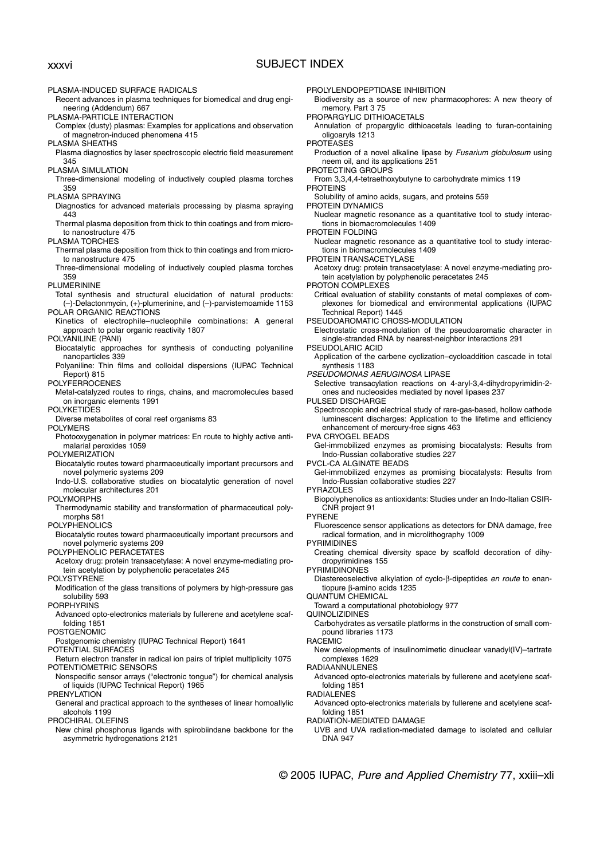PLASMA-INDUCED SURFACE RADICALS Recent advances in plasma techniques for biomedical and drug engineering (Addendum) 667 PLASMA-PARTICLE INTERACTION Complex (dusty) plasmas: Examples for applications and observation of magnetron-induced phenomena 415 PLASMA SHEATHS Plasma diagnostics by laser spectroscopic electric field measurement 345 PLASMA SIMULATION Three-dimensional modeling of inductively coupled plasma torches 359 PLASMA SPRAYING Diagnostics for advanced materials processing by plasma spraying 443 Thermal plasma deposition from thick to thin coatings and from microto nanostructure 475 PLASMA TORCHES Thermal plasma deposition from thick to thin coatings and from microto nanostructure 475 Three-dimensional modeling of inductively coupled plasma torches 359 PLUMERININE Total synthesis and structural elucidation of natural products: (–)-Delactonmycin, (+)-plumerinine, and (–)-parvistemoamide 1153 POLAR ORGANIC REACTIONS Kinetics of electrophile–nucleophile combinations: A general approach to polar organic reactivity 1807 POLYANILINE (PANI) Biocatalytic approaches for synthesis of conducting polyaniline nanoparticles 339 Polyaniline: Thin films and colloidal dispersions (IUPAC Technical Report) 815 POLYFERROCENES Metal-catalyzed routes to rings, chains, and macromolecules based on inorganic elements 1991 POLYKETIDES Diverse metabolites of coral reef organisms 83 POLYMERS Photooxygenation in polymer matrices: En route to highly active antimalarial peroxides 1059 POLYMERIZATION Biocatalytic routes toward pharmaceutically important precursors and novel polymeric systems 209 Indo-U.S. collaborative studies on biocatalytic generation of novel molecular architectures 201 POLYMORPHS Thermodynamic stability and transformation of pharmaceutical polymorphs 581 POLYPHENOLICS Biocatalytic routes toward pharmaceutically important precursors and novel polymeric systems 209 POLYPHENOLIC PERACETATES Acetoxy drug: protein transacetylase: A novel enzyme-mediating protein acetylation by polyphenolic peracetates 245 POLYSTYRENE Modification of the glass transitions of polymers by high-pressure gas solubility 593 PORPHYRINS Advanced opto-electronics materials by fullerene and acetylene scaffolding 1851 POSTGENOMIC Postgenomic chemistry (IUPAC Technical Report) 1641 POTENTIAL SURFACES Return electron transfer in radical ion pairs of triplet multiplicity 1075 POTENTIOMETRIC SENSORS Nonspecific sensor arrays ("electronic tongue") for chemical analysis of liquids (IUPAC Technical Report) 1965 **PRENYLATION** General and practical approach to the syntheses of linear homoallylic alcohols 1199 PROCHIRAL OLEFINS New chiral phosphorus ligands with spirobiindane backbone for the asymmetric hydrogenations 2121 PROTEASES PROTEINS PROTEIN DYNAMICS PROTEIN FOLDING PSEUDOLARIC ACID PULSED DISCHARGE PVCL-CA ALGINATE BEADS PYRAZOLES PYRENE PYRIMIDINES PYRIMIDINONES QUANTUM CHEMICAL QUINOLIZIDINES RACEMIC RADIAANNULENES folding 1851 RADIALENES folding 1851 DNA 947 xxxvi SUBJECT INDEX

PROLYLENDOPEPTIDASE INHIBITION

Biodiversity as a source of new pharmacophores: A new theory of memory. Part 3 75

PROPARGYLIC DITHIOACETALS

Annulation of propargylic dithioacetals leading to furan-containing oligoaryls 1213

Production of a novel alkaline lipase by Fusarium globulosum using neem oil, and its applications 251

PROTECTING GROUPS

From 3,3,4,4-tetraethoxybutyne to carbohydrate mimics 119

Solubility of amino acids, sugars, and proteins 559

Nuclear magnetic resonance as a quantitative tool to study interactions in biomacromolecules 1409

Nuclear magnetic resonance as a quantitative tool to study interactions in biomacromolecules 1409

PROTEIN TRANSACETYLASE

Acetoxy drug: protein transacetylase: A novel enzyme-mediating protein acetylation by polyphenolic peracetates 245

PROTON COMPLEXES

Critical evaluation of stability constants of metal complexes of complexones for biomedical and environmental applications (IUPAC Technical Report) 1445

PSEUDOAROMATIC CROSS-MODULATION

Electrostatic cross-modulation of the pseudoaromatic character in single-stranded RNA by nearest-neighbor interactions 291

Application of the carbene cyclization–cycloaddition cascade in total synthesis 1183

PSEUDOMONAS AERUGINOSA LIPASE

Selective transacylation reactions on 4-aryl-3,4-dihydropyrimidin-2 ones and nucleosides mediated by novel lipases 237

Spectroscopic and electrical study of rare-gas-based, hollow cathode luminescent discharges: Application to the lifetime and efficiency enhancement of mercury-free signs 463

PVA CRYOGEL BEADS

Gel-immobilized enzymes as promising biocatalysts: Results from Indo-Russian collaborative studies 227

Gel-immobilized enzymes as promising biocatalysts: Results from Indo-Russian collaborative studies 227

Biopolyphenolics as antioxidants: Studies under an Indo-Italian CSIR-CNR project 91

Fluorescence sensor applications as detectors for DNA damage, free radical formation, and in microlithography 1009

Creating chemical diversity space by scaffold decoration of dihydropyrimidines 155

Diastereoselective alkylation of cyclo-β-dipeptides en route to enantiopure β-amino acids 1235

Toward a computational photobiology 977

Carbohydrates as versatile platforms in the construction of small compound libraries 1173

New developments of insulinomimetic dinuclear vanadyl(IV)–tartrate complexes 1629

Advanced opto-electronics materials by fullerene and acetylene scaf-

Advanced opto-electronics materials by fullerene and acetylene scaf-

RADIATION-MEDIATED DAMAGE

UVB and UVA radiation-mediated damage to isolated and cellular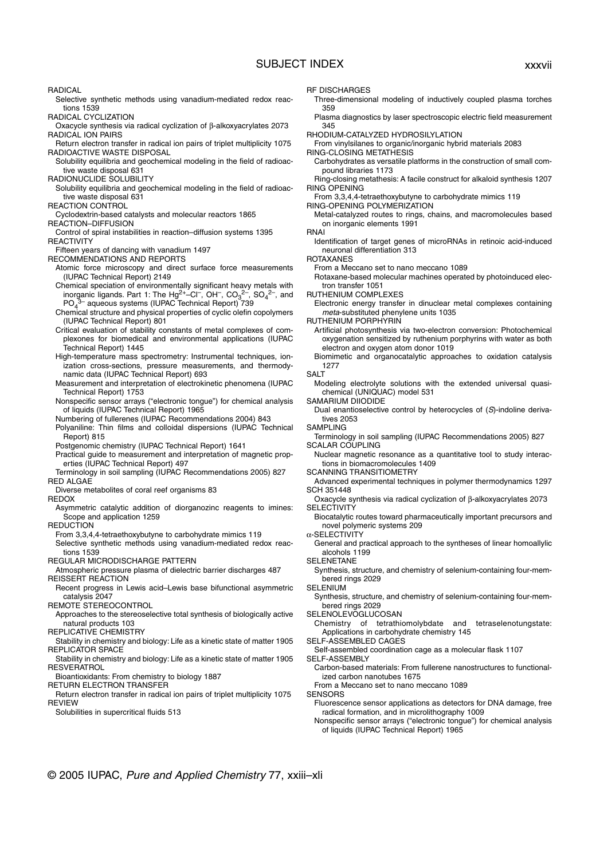## SUBJECT INDEX xxxvii

- Selective synthetic methods using vanadium-mediated redox reactions 1539
- RADICAL CYCLIZATION
- Oxacycle synthesis via radical cyclization of β-alkoxyacrylates 2073 RADICAL ION PAIRS
- Return electron transfer in radical ion pairs of triplet multiplicity 1075 RADIOACTIVE WASTE DISPOSAL
- Solubility equilibria and geochemical modeling in the field of radioactive waste disposal 631
- RADIONUCLIDE SOLUBILITY
- Solubility equilibria and geochemical modeling in the field of radioactive waste disposal 631
- REACTION CONTROL
- Cyclodextrin-based catalysts and molecular reactors 1865
- REACTION–DIFFUSION
- Control of spiral instabilities in reaction–diffusion systems 1395 **REACTIVITY**
- Fifteen years of dancing with vanadium 1497
- RECOMMENDATIONS AND REPORTS
	- Atomic force microscopy and direct surface force measurements (IUPAC Technical Report) 2149
	- Chemical speciation of environmentally significant heavy metals with inorganic ligands. Part 1: The Hg<sup>2+</sup>–Cl<sup>-</sup>, OH<sup>-</sup>, CO<sub>3</sub><sup>2-</sup>, SO<sub>4</sub><sup>2-</sup>, and PO<sub>4</sub><sup>3</sup> aqueous systems (IUPAC Technical Report) 739
	- Chemical structure and physical properties of cyclic olefin copolymers (IUPAC Technical Report) 801
	- Critical evaluation of stability constants of metal complexes of complexones for biomedical and environmental applications (IUPAC Technical Report) 1445
	- High-temperature mass spectrometry: Instrumental techniques, ionization cross-sections, pressure measurements, and thermodynamic data (IUPAC Technical Report) 693
	- Measurement and interpretation of electrokinetic phenomena (IUPAC Technical Report) 1753
	- Nonspecific sensor arrays ("electronic tongue") for chemical analysis of liquids (IUPAC Technical Report) 1965
	- Numbering of fullerenes (IUPAC Recommendations 2004) 843
	- Polyaniline: Thin films and colloidal dispersions (IUPAC Technical Report) 815
	- Postgenomic chemistry (IUPAC Technical Report) 1641
- Practical guide to measurement and interpretation of magnetic properties (IUPAC Technical Report) 497
- Terminology in soil sampling (IUPAC Recommendations 2005) 827 RED ALGAE
- Diverse metabolites of coral reef organisms 83
- REDOX
- Asymmetric catalytic addition of diorganozinc reagents to imines: Scope and application 1259
- REDUCTION
- From 3,3,4,4-tetraethoxybutyne to carbohydrate mimics 119 Selective synthetic methods using vanadium-mediated redox reactions 1539
- REGULAR MICRODISCHARGE PATTERN
- Atmospheric pressure plasma of dielectric barrier discharges 487 REISSERT REACTION
- Recent progress in Lewis acid–Lewis base bifunctional asymmetric catalysis 2047

REMOTE STEREOCONTROL

- Approaches to the stereoselective total synthesis of biologically active natural products 103
- REPLICATIVE CHEMISTRY
- Stability in chemistry and biology: Life as a kinetic state of matter 1905 REPLICATOR SPACE
- Stability in chemistry and biology: Life as a kinetic state of matter 1905 **RESVERATROL**
- Bioantioxidants: From chemistry to biology 1887
- RETURN ELECTRON TRANSFER
- Return electron transfer in radical ion pairs of triplet multiplicity 1075 REVIEW
- Solubilities in supercritical fluids 513
- RF DISCHARGES
- Three-dimensional modeling of inductively coupled plasma torches 359
- Plasma diagnostics by laser spectroscopic electric field measurement 345
- RHODIUM-CATALYZED HYDROSILYLATION
- From vinylsilanes to organic/inorganic hybrid materials 2083 RING-CLOSING METATHESIS
	- Carbohydrates as versatile platforms in the construction of small compound libraries 1173
- Ring-closing metathesis: A facile construct for alkaloid synthesis 1207 RING OPENING
- From 3,3,4,4-tetraethoxybutyne to carbohydrate mimics 119
- RING-OPENING POLYMERIZATION
	- Metal-catalyzed routes to rings, chains, and macromolecules based on inorganic elements 1991
- RNAI
- Identification of target genes of microRNAs in retinoic acid-induced neuronal differentiation 313
- ROTAXANES
	- From a Meccano set to nano meccano 1089
- Rotaxane-based molecular machines operated by photoinduced electron transfer 1051
- RUTHENIUM COMPLEXES
- Electronic energy transfer in dinuclear metal complexes containing meta-substituted phenylene units 1035
- RUTHENIUM PORPHYRIN
	- Artificial photosynthesis via two-electron conversion: Photochemical oxygenation sensitized by ruthenium porphyrins with water as both electron and oxygen atom donor 1019
	- Biomimetic and organocatalytic approaches to oxidation catalysis 1277
- **SALT**
- Modeling electrolyte solutions with the extended universal quasichemical (UNIQUAC) model 531
- SAMARIUM DIIODIDE
- Dual enantioselective control by heterocycles of (S)-indoline derivatives 2053
- SAMPLING
- Terminology in soil sampling (IUPAC Recommendations 2005) 827 SCALAR COUPLING
- Nuclear magnetic resonance as a quantitative tool to study interactions in biomacromolecules 1409
- SCANNING TRANSITIOMETRY
- Advanced experimental techniques in polymer thermodynamics 1297 SCH 351448
- Oxacycle synthesis via radical cyclization of β-alkoxyacrylates 2073 **SELECTIVITY**
- Biocatalytic routes toward pharmaceutically important precursors and novel polymeric systems 209
- α-SELECTIVITY
- General and practical approach to the syntheses of linear homoallylic alcohols 1199

SELENETANE

- Synthesis, structure, and chemistry of selenium-containing four-membered rings 2029
- SELENIUM
- Synthesis, structure, and chemistry of selenium-containing four-membered rings 2029
- SELENOLEVOGLUCOSAN
- Chemistry of tetrathiomolybdate and tetraselenotungstate: Applications in carbohydrate chemistry 145
- SELF-ASSEMBLED CAGES
- Self-assembled coordination cage as a molecular flask 1107
- SELF-ASSEMBLY
- Carbon-based materials: From fullerene nanostructures to functionalized carbon nanotubes 1675
- From a Meccano set to nano meccano 1089
- **SENSORS** 
	- Fluorescence sensor applications as detectors for DNA damage, free radical formation, and in microlithography 1009
- Nonspecific sensor arrays ("electronic tongue") for chemical analysis of liquids (IUPAC Technical Report) 1965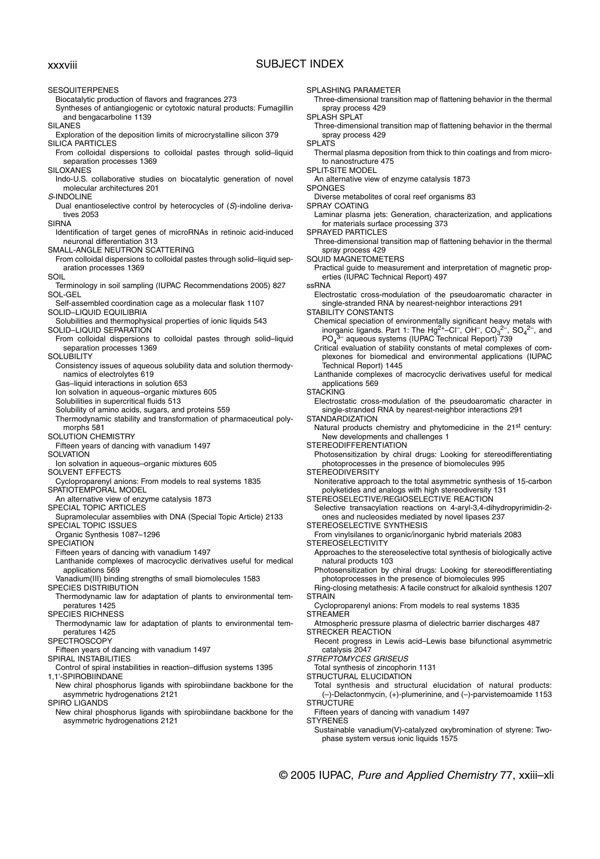## xxxviii SUBJECT INDEX

**SESQUITERPENES** Biocatalytic production of flavors and fragrances 273 Syntheses of antiangiogenic or cytotoxic natural products: Fumagillin and bengacarboline 1139 SILANES Exploration of the deposition limits of microcrystalline silicon 379 SILICA PARTICLES From colloidal dispersions to colloidal pastes through solid–liquid separation processes 1369 SILOXANES Indo-U.S. collaborative studies on biocatalytic generation of novel molecular architectures 201 S-INDOLINE Dual enantioselective control by heterocycles of (S)-indoline derivatives 2053 SIRNA Identification of target genes of microRNAs in retinoic acid-induced neuronal differentiation 313 SMALL-ANGLE NEUTRON SCATTERING From colloidal dispersions to colloidal pastes through solid–liquid separation processes 1369 SOIL Terminology in soil sampling (IUPAC Recommendations 2005) 827 SOL-GEL Self-assembled coordination cage as a molecular flask 1107 SOLID–LIQUID EQUILIBRIA Solubilities and thermophysical properties of ionic liquids 543 SOLID–LIQUID SEPARATION From colloidal dispersions to colloidal pastes through solid–liquid separation processes 1369 **SOLUBILITY** Consistency issues of aqueous solubility data and solution thermodynamics of electrolytes 619 Gas–liquid interactions in solution 653 Ion solvation in aqueous–organic mixtures 605 Solubilities in supercritical fluids 513 Solubility of amino acids, sugars, and proteins 559 Thermodynamic stability and transformation of pharmaceutical polymorphs 581 SOLUTION CHEMISTRY Fifteen years of dancing with vanadium 1497 **SOLVATION** Ion solvation in aqueous–organic mixtures 605 SOLVENT EFFECTS Cycloproparenyl anions: From models to real systems 1835 SPATIOTEMPORAL MODEL An alternative view of enzyme catalysis 1873 SPECIAL TOPIC ARTICLES Supramolecular assemblies with DNA (Special Topic Article) 2133 SPECIAL TOPIC ISSUES Organic Synthesis 1087–1296 **SPECIATION** Fifteen years of dancing with vanadium 1497 Lanthanide complexes of macrocyclic derivatives useful for medical applications 569 Vanadium(III) binding strengths of small biomolecules 1583 SPECIES DISTRIBUTION Thermodynamic law for adaptation of plants to environmental temperatures 1425 SPECIES RICHNESS Thermodynamic law for adaptation of plants to environmental temperatures 1425 SPECTROSCOPY Fifteen years of dancing with vanadium 1497 SPIRAL INSTABILITIES Control of spiral instabilities in reaction–diffusion systems 1395 1,1'-SPIROBIINDANE New chiral phosphorus ligands with spirobiindane backbone for the asymmetric hydrogenations 2121 SPIRO LIGANDS New chiral phosphorus ligands with spirobiindane backbone for the asymmetric hydrogenations 2121 spray process 429 SPLASH SPLAT spray process 429 **SPLATS** SPLIT-SITE MODEL An alternative view of enzyme catalysis 1873 SPONGES SPRAY COATING SPRAYED PARTICLES spray process 429 ssRNA STABILITY CONSTANTS PO<sub>4</sub> Technical Report) 1445 applications 569 **STACKING STANDARDIZATION** New developments and challenges 1 STEREODIFFERENTIATION STEREODIVERSITY **STEREOSELECTIVITY STRAIN STREAMER** STRECKER REACTION catalysis 2047 STREPTOMYCES GRISEUS **STRUCTURE STYRENES** 

SPLASHING PARAMETER

Three-dimensional transition map of flattening behavior in the thermal

Three-dimensional transition map of flattening behavior in the thermal

Thermal plasma deposition from thick to thin coatings and from microto nanostructure 475

Diverse metabolites of coral reef organisms 83

Laminar plasma jets: Generation, characterization, and applications for materials surface processing 373

Three-dimensional transition map of flattening behavior in the thermal

SQUID MAGNETOMETERS

Practical guide to measurement and interpretation of magnetic properties (IUPAC Technical Report) 497

Electrostatic cross-modulation of the pseudoaromatic character in single-stranded RNA by nearest-neighbor interactions 291

Chemical speciation of environmentally significant heavy metals with inorganic ligands. Part 1: The Hg<sup>2+</sup>-Cl<sup>-</sup>, OH<sup>-</sup>, CO<sub>3</sub><sup>2-</sup>, SO<sub>4</sub><sup>2-</sup>, and 3<sup>-</sup> aqueous systems (IUPAC Technical Report) 739

Critical evaluation of stability constants of metal complexes of complexones for biomedical and environmental applications (IUPAC

Lanthanide complexes of macrocyclic derivatives useful for medical

Electrostatic cross-modulation of the pseudoaromatic character in single-stranded RNA by nearest-neighbor interactions 291

Natural products chemistry and phytomedicine in the 21<sup>st</sup> century:

Photosensitization by chiral drugs: Looking for stereodifferentiating photoprocesses in the presence of biomolecules 995

Noniterative approach to the total asymmetric synthesis of 15-carbon polyketides and analogs with high stereodiversity 131

STEREOSELECTIVE/REGIOSELECTIVE REACTION

Selective transacylation reactions on 4-aryl-3,4-dihydropyrimidin-2 ones and nucleosides mediated by novel lipases 237

STEREOSELECTIVE SYNTHESIS

From vinylsilanes to organic/inorganic hybrid materials 2083

Approaches to the stereoselective total synthesis of biologically active natural products 103

Photosensitization by chiral drugs: Looking for stereodifferentiating photoprocesses in the presence of biomolecules 995

Ring-closing metathesis: A facile construct for alkaloid synthesis 1207

Cycloproparenyl anions: From models to real systems 1835

Atmospheric pressure plasma of dielectric barrier discharges 487

Recent progress in Lewis acid–Lewis base bifunctional asymmetric

Total synthesis of zincophorin 1131

STRUCTURAL ELUCIDATION

Total synthesis and structural elucidation of natural products: (–)-Delactonmycin, (+)-plumerinine, and (–)-parvistemoamide 1153

Fifteen years of dancing with vanadium 1497

Sustainable vanadium(V)-catalyzed oxybromination of styrene: Twophase system versus ionic liquids 1575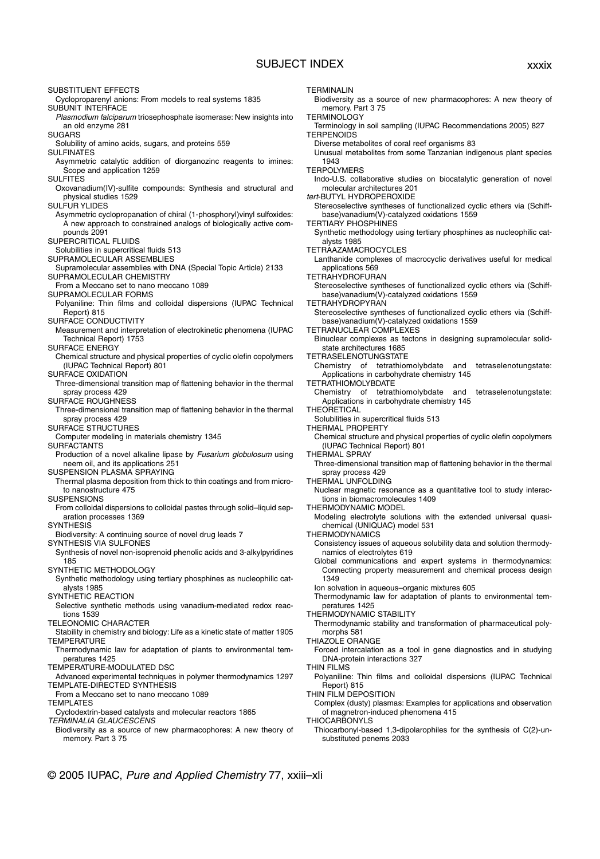## SUBJECT INDEX xxxix

SUBSTITUENT EFFECTS Cycloproparenyl anions: From models to real systems 1835 SUBUNIT INTERFACE Plasmodium falciparum triosephosphate isomerase: New insights into an old enzyme 281 **SUGARS** Solubility of amino acids, sugars, and proteins 559 SULFINATES Asymmetric catalytic addition of diorganozinc reagents to imines: Scope and application 1259 SULFITES Oxovanadium(IV)-sulfite compounds: Synthesis and structural and physical studies 1529 SULFUR YLIDES Asymmetric cyclopropanation of chiral (1-phosphoryl)vinyl sulfoxides: A new approach to constrained analogs of biologically active compounds 2091 SUPERCRITICAL FLUIDS Solubilities in supercritical fluids 513 SUPRAMOLECULAR ASSEMBLIES Supramolecular assemblies with DNA (Special Topic Article) 2133 SUPRAMOLECULAR CHEMISTRY From a Meccano set to nano meccano 1089 SUPRAMOLECULAR FORMS Polyaniline: Thin films and colloidal dispersions (IUPAC Technical Report) 815 SURFACE CONDUCTIVITY Measurement and interpretation of electrokinetic phenomena (IUPAC Technical Report) 1753 SURFACE ENERGY Chemical structure and physical properties of cyclic olefin copolymers (IUPAC Technical Report) 801 SURFACE OXIDATION Three-dimensional transition map of flattening behavior in the thermal spray process 429 SURFACE ROUGHNESS Three-dimensional transition map of flattening behavior in the thermal spray process 429 SURFACE STRUCTURES Computer modeling in materials chemistry 1345 SURFACTANTS Production of a novel alkaline lipase by Fusarium globulosum using neem oil, and its applications 251 SUSPENSION PLASMA SPRAYING Thermal plasma deposition from thick to thin coatings and from microto nanostructure 475 **SUSPENSIONS** From colloidal dispersions to colloidal pastes through solid–liquid separation processes 1369 **SYNTHESIS** Biodiversity: A continuing source of novel drug leads 7 SYNTHESIS VIA SULFONES Synthesis of novel non-isoprenoid phenolic acids and 3-alkylpyridines 185 SYNTHETIC METHODOLOGY Synthetic methodology using tertiary phosphines as nucleophilic catalysts 1985 SYNTHETIC REACTION Selective synthetic methods using vanadium-mediated redox reactions 1539 TELEONOMIC CHARACTER Stability in chemistry and biology: Life as a kinetic state of matter 1905 TEMPERATURE Thermodynamic law for adaptation of plants to environmental temperatures 1425 TEMPERATURE-MODULATED DSC Advanced experimental techniques in polymer thermodynamics 1297 TEMPLATE-DIRECTED SYNTHESIS From a Meccano set to nano meccano 1089 **TEMPLATES** Cyclodextrin-based catalysts and molecular reactors 1865 TERMINALIA GLAUCESCENS Biodiversity as a source of new pharmacophores: A new theory of memory. Part 3 75 TERMINALIN memory. Part 3 75 **TERMINOLOGY TERPENOIDS** 1943 **TERPOLYMERS** tert-BUTYL HYDROPEROXIDE TERTIARY PHOSPHINES alysts 1985 TETRAAZAMACROCYCLES applications 569 TETRAHYDROFURAN TETRAHYDROPYRAN TETRANUCLEAR COMPLEXES TETRASELENOTUNGSTATE TETRATHIOMOLYBDATE **THEORETICAL** THERMAL PROPERTY THERMAL SPRAY spray process 429 THERMAL UNFOLDING THERMODYNAMIC MODEL **THERMODYNAMICS** 1349 peratures 1425 THERMODYNAMIC STABILITY morphs 581 THIAZOLE ORANGE THIN FILMS Report) 815 THIN FILM DEPOSITION THIOCARBONYLS

Biodiversity as a source of new pharmacophores: A new theory of

Terminology in soil sampling (IUPAC Recommendations 2005) 827

Diverse metabolites of coral reef organisms 83

Unusual metabolites from some Tanzanian indigenous plant species

Indo-U.S. collaborative studies on biocatalytic generation of novel molecular architectures 201

Stereoselective syntheses of functionalized cyclic ethers via (Schiffbase)vanadium(V)-catalyzed oxidations 1559

Synthetic methodology using tertiary phosphines as nucleophilic cat-

Lanthanide complexes of macrocyclic derivatives useful for medical

Stereoselective syntheses of functionalized cyclic ethers via (Schiffbase)vanadium(V)-catalyzed oxidations 1559

Stereoselective syntheses of functionalized cyclic ethers via (Schiffbase)vanadium(V)-catalyzed oxidations 1559

Binuclear complexes as tectons in designing supramolecular solidstate architectures 1685

Chemistry of tetrathiomolybdate and tetraselenotungstate: Applications in carbohydrate chemistry 145

Chemistry of tetrathiomolybdate and tetraselenotungstate: Applications in carbohydrate chemistry 145

Solubilities in supercritical fluids 513

Chemical structure and physical properties of cyclic olefin copolymers (IUPAC Technical Report) 801

Three-dimensional transition map of flattening behavior in the thermal

Nuclear magnetic resonance as a quantitative tool to study interactions in biomacromolecules 1409

Modeling electrolyte solutions with the extended universal quasichemical (UNIQUAC) model 531

Consistency issues of aqueous solubility data and solution thermodynamics of electrolytes 619

Global communications and expert systems in thermodynamics: Connecting property measurement and chemical process design

Ion solvation in aqueous–organic mixtures 605

Thermodynamic law for adaptation of plants to environmental tem-

Thermodynamic stability and transformation of pharmaceutical poly-

Forced intercalation as a tool in gene diagnostics and in studying DNA-protein interactions 327

Polyaniline: Thin films and colloidal dispersions (IUPAC Technical

- Complex (dusty) plasmas: Examples for applications and observation of magnetron-induced phenomena 415
- Thiocarbonyl-based 1,3-dipolarophiles for the synthesis of C(2)-unsubstituted penems 2033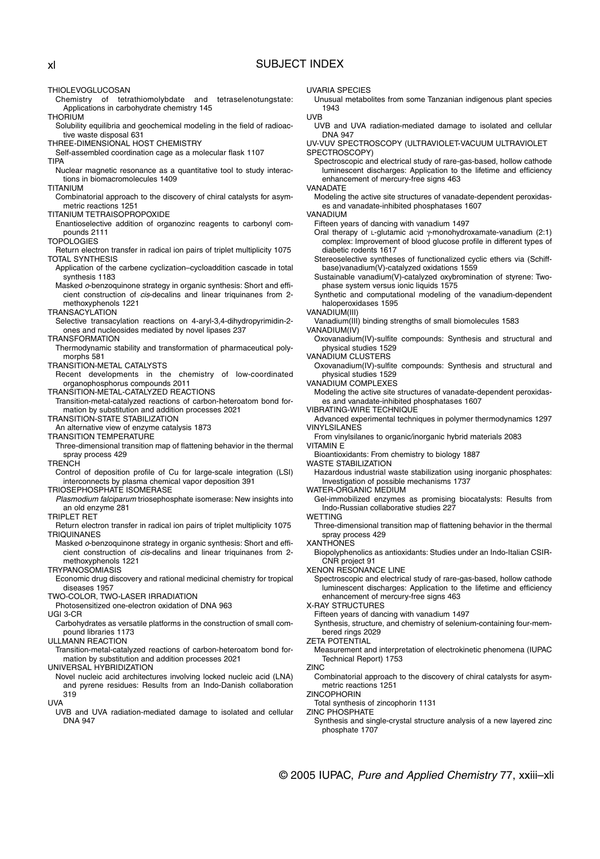## xl SUBJECT INDEX

THIOLEVOGLUCOSAN

- Chemistry of tetrathiomolybdate and tetraselenotungstate: Applications in carbohydrate chemistry 145
- THORIUM
- Solubility equilibria and geochemical modeling in the field of radioactive waste disposal 631
- THREE-DIMENSIONAL HOST CHEMISTRY
- Self-assembled coordination cage as a molecular flask 1107 TIPA
- Nuclear magnetic resonance as a quantitative tool to study interactions in biomacromolecules 1409
- TITANIUM
- Combinatorial approach to the discovery of chiral catalysts for asymmetric reactions 1251

TITANIUM TETRAISOPROPOXIDE

- Enantioselective addition of organozinc reagents to carbonyl compounds 2111
- **TOPOLOGIES**
- Return electron transfer in radical ion pairs of triplet multiplicity 1075 TOTAL SYNTHESIS
- Application of the carbene cyclization–cycloaddition cascade in total synthesis 1183
- Masked o-benzoquinone strategy in organic synthesis: Short and efficient construction of cis-decalins and linear triquinanes from 2 methoxyphenols 1221

TRANSACYLATION

Selective transacylation reactions on 4-aryl-3,4-dihydropyrimidin-2 ones and nucleosides mediated by novel lipases 237

TRANSFORMATION

- Thermodynamic stability and transformation of pharmaceutical polymorphs 581
- TRANSITION-METAL CATALYSTS
- Recent developments in the chemistry of low-coordinated organophosphorus compounds 2011
- TRANSITION-METAL-CATALYZED REACTIONS
- Transition-metal-catalyzed reactions of carbon-heteroatom bond formation by substitution and addition processes 2021
- TRANSITION-STATE STABILIZATION
- An alternative view of enzyme catalysis 1873

TRANSITION TEMPERATURE

- Three-dimensional transition map of flattening behavior in the thermal spray process 429
- **TRENCH**
- Control of deposition profile of Cu for large-scale integration (LSI) interconnects by plasma chemical vapor deposition 391
- TRIOSEPHOSPHATE ISOMERASE
- Plasmodium falciparum triosephosphate isomerase: New insights into an old enzyme 281
- TRIPI FT RFT
- Return electron transfer in radical ion pairs of triplet multiplicity 1075 TRIQUINANES
- Masked o-benzoquinone strategy in organic synthesis: Short and efficient construction of cis-decalins and linear triquinanes from 2 methoxyphenols 1221

TRYPANOSOMIASIS

Economic drug discovery and rational medicinal chemistry for tropical diseases 1957

TWO-COLOR, TWO-LASER IRRADIATION

Photosensitized one-electron oxidation of DNA 963

UGI 3-CR

Carbohydrates as versatile platforms in the construction of small compound libraries 1173

ULLMANN REACTION

Transition-metal-catalyzed reactions of carbon-heteroatom bond formation by substitution and addition processes 2021

UNIVERSAL HYBRIDIZATION

Novel nucleic acid architectures involving locked nucleic acid (LNA) and pyrene residues: Results from an Indo-Danish collaboration 319

UVA

UVB and UVA radiation-mediated damage to isolated and cellular DNA 947

#### UVARIA SPECIES

Unusual metabolites from some Tanzanian indigenous plant species 1943

#### UVB

UVB and UVA radiation-mediated damage to isolated and cellular DNA 947

UV-VUV SPECTROSCOPY (ULTRAVIOLET-VACUUM ULTRAVIOLET SPECTROSCOPY)

Spectroscopic and electrical study of rare-gas-based, hollow cathode luminescent discharges: Application to the lifetime and efficiency enhancement of mercury-free signs 463

VANADATE

Modeling the active site structures of vanadate-dependent peroxidases and vanadate-inhibited phosphatases 1607

VANADIUM

Fifteen years of dancing with vanadium 1497

- Oral therapy of L-glutamic acid γ-monohydroxamate-vanadium (2:1) complex: Improvement of blood glucose profile in different types of diabetic rodents 1617
- Stereoselective syntheses of functionalized cyclic ethers via (Schiffbase)vanadium(V)-catalyzed oxidations 1559
- Sustainable vanadium(V)-catalyzed oxybromination of styrene: Twophase system versus ionic liquids 1575

Synthetic and computational modeling of the vanadium-dependent haloperoxidases 1595

VANADIUM(III)

Vanadium(III) binding strengths of small biomolecules 1583

VANADIUM(IV)

Oxovanadium(IV)-sulfite compounds: Synthesis and structural and physical studies 1529

VANADIUM CLUSTERS

Oxovanadium(IV)-sulfite compounds: Synthesis and structural and physical studies 1529

VANADIUM COMPLEXES

Modeling the active site structures of vanadate-dependent peroxidases and vanadate-inhibited phosphatases 1607

- VIBRATING-WIRE TECHNIQUE
- Advanced experimental techniques in polymer thermodynamics 1297 VINYLSILANES
- From vinylsilanes to organic/inorganic hybrid materials 2083 VITAMIN E
	-

Bioantioxidants: From chemistry to biology 1887 WASTE STABILIZATION

Hazardous industrial waste stabilization using inorganic phosphates: Investigation of possible mechanisms 1737

WATER-ORGANIC MEDIUM

Gel-immobilized enzymes as promising biocatalysts: Results from Indo-Russian collaborative studies 227

- WETTING
- Three-dimensional transition map of flattening behavior in the thermal spray process 429
- **XANTHONES**

Biopolyphenolics as antioxidants: Studies under an Indo-Italian CSIR-CNR project 91

XENON RESONANCE LINE

- Spectroscopic and electrical study of rare-gas-based, hollow cathode luminescent discharges: Application to the lifetime and efficiency enhancement of mercury-free signs 463
- X-RAY STRUCTURES

Fifteen years of dancing with vanadium 1497

Synthesis, structure, and chemistry of selenium-containing four-membered rings 2029

#### ZETA POTENTIAL

Measurement and interpretation of electrokinetic phenomena (IUPAC Technical Report) 1753

ZINC

Combinatorial approach to the discovery of chiral catalysts for asymmetric reactions 1251

**ZINCOPHORIN** 

Total synthesis of zincophorin 1131

- ZINC PHOSPHATE
- Synthesis and single-crystal structure analysis of a new layered zinc phosphate 1707